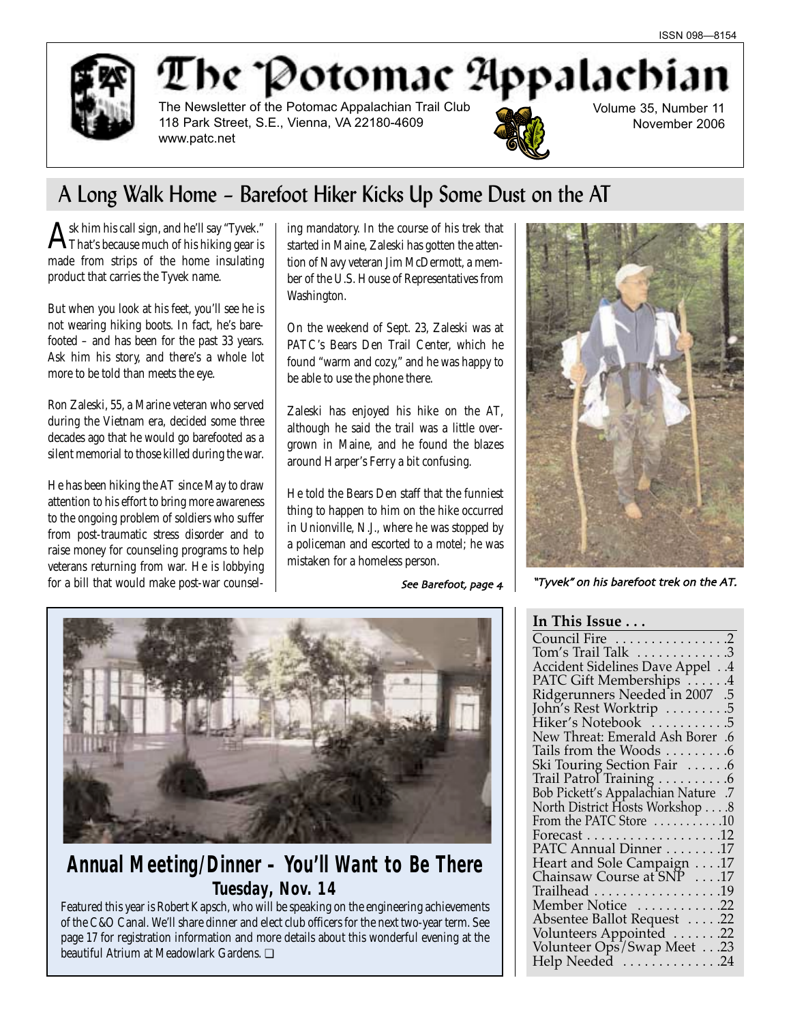

# The Potomac Appalachi

The Newsletter of the Potomac Appalachian Trail Club 118 Park Street, S.E., Vienna, VA 22180-4609 www.patc.net



Volume 35, Number 11 November 2006

## A Long Walk Home – Barefoot Hiker Kicks Up Some Dust on the AT

 $\mathrm{A}^\mathrm{sk}$  him his call sign, and he'll say "Tyvek."<br>That's because much of his hiking gear is made from strips of the home insulating product that carries the Tyvek name.

But when you look at his feet, you'll see he is not wearing hiking boots. In fact, he's barefooted – and has been for the past 33 years. Ask him his story, and there's a whole lot more to be told than meets the eye.

Ron Zaleski, 55, a Marine veteran who served during the Vietnam era, decided some three decades ago that he would go barefooted as a silent memorial to those killed during the war.

He has been hiking the AT since May to draw attention to his effort to bring more awareness to the ongoing problem of soldiers who suffer from post-traumatic stress disorder and to raise money for counseling programs to help veterans returning from war. He is lobbying for a bill that would make post-war counseling mandatory. In the course of his trek that started in Maine, Zaleski has gotten the attention of Navy veteran Jim McDermott, a member of the U.S. House of Representatives from Washington.

On the weekend of Sept. 23, Zaleski was at PATC's Bears Den Trail Center, which he found "warm and cozy," and he was happy to be able to use the phone there.

Zaleski has enjoyed his hike on the AT, although he said the trail was a little overgrown in Maine, and he found the blazes around Harper's Ferry a bit confusing.

He told the Bears Den staff that the funniest thing to happen to him on the hike occurred in Unionville, N.J., where he was stopped by a policeman and escorted to a motel; he was mistaken for a homeless person.

See Barefoot page



## **Annual Meeting/Dinner – You'll Want to Be There** *Tuesday, Nov. 14*

Featured this year is Robert Kapsch, who will be speaking on the engineering achievements of the C&O Canal. We'll share dinner and elect club officers for the next two-year term. See page 17 for registration information and more details about this wonderful evening at the beautiful Atrium at Meadowlark Gardens. ❏



"Tyvek" on his barefoot trek on the AT

## **In This Issue . . .**

| Council Fire 2                                            |
|-----------------------------------------------------------|
| Tom's Trail Talk 3                                        |
| Accident Sidelines Dave Appel 4                           |
|                                                           |
| PATC Gift Memberships 4<br>Ridgerunners Needed in 2007 .5 |
| John's Rest Worktrip<br>.5                                |
| Hiker's Notebook 5                                        |
| New Threat: Emerald Ash Borer .6                          |
| Tails from the Woods<br>.6                                |
| Ski Touring Section Fair 6                                |
| Trail Patrol Training 6                                   |
| Bob Pickett's Appalachian Nature .7                       |
| North District Hosts Workshop 8                           |
| From the PATC Store 10                                    |
|                                                           |
| PATC Annual Dinner 17                                     |
| Heart and Sole Campaign 17                                |
| Chainsaw Course at SNP 17                                 |
| Trailhead 19                                              |
| Member Notice 22                                          |
| Absentee Ballot Request  .22                              |
| Volunteers Appointed 22                                   |
| Volunteer Ops/Swap Meet23                                 |
| Help Needed 24                                            |
|                                                           |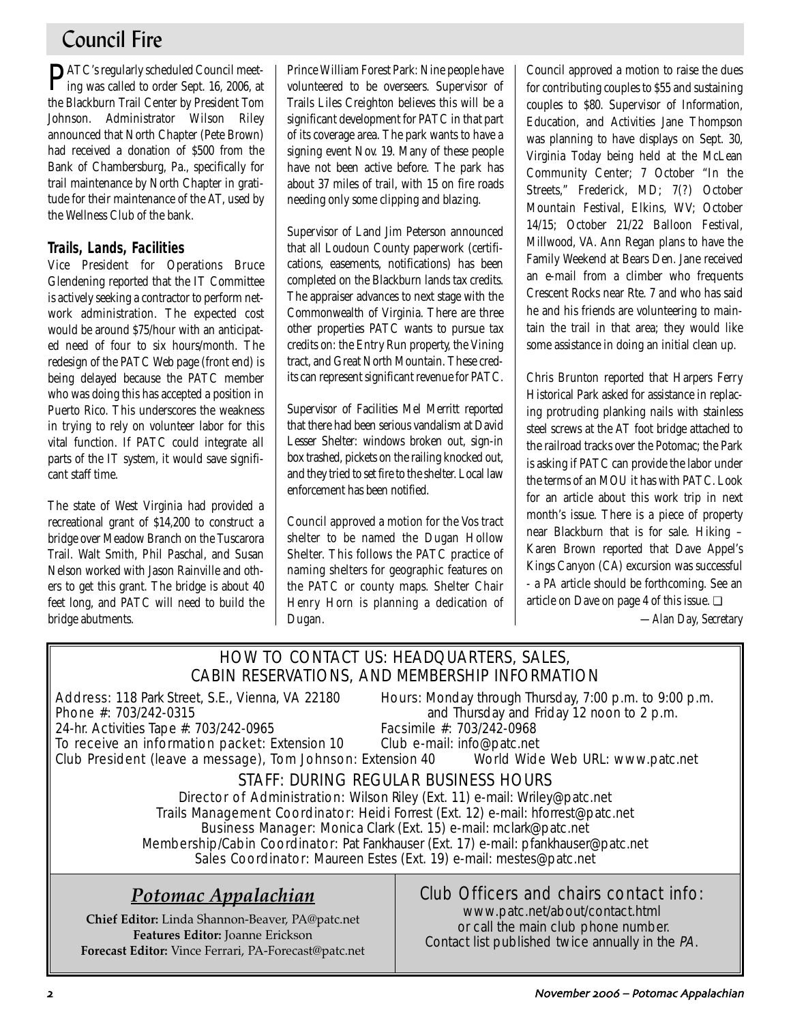## Council Fire

PATC's regularly scheduled Council meet-ing was called to order Sept. 16, 2006, at the Blackburn Trail Center by President Tom Johnson. Administrator Wilson Riley announced that North Chapter (Pete Brown) had received a donation of \$500 from the Bank of Chambersburg, Pa., specifically for trail maintenance by North Chapter in gratitude for their maintenance of the AT, used by the Wellness Club of the bank.

## **Trails, Lands, Facilities**

Vice President for Operations Bruce Glendening reported that the IT Committee is actively seeking a contractor to perform network administration. The expected cost would be around \$75/hour with an anticipated need of four to six hours/month. The redesign of the PATC Web page (front end) is being delayed because the PATC member who was doing this has accepted a position in Puerto Rico. This underscores the weakness in trying to rely on volunteer labor for this vital function. If PATC could integrate all parts of the IT system, it would save significant staff time.

The state of West Virginia had provided a recreational grant of \$14,200 to construct a bridge over Meadow Branch on the Tuscarora Trail. Walt Smith, Phil Paschal, and Susan Nelson worked with Jason Rainville and others to get this grant. The bridge is about 40 feet long, and PATC will need to build the bridge abutments.

Prince William Forest Park: Nine people have volunteered to be overseers. Supervisor of Trails Liles Creighton believes this will be a significant development for PATC in that part of its coverage area. The park wants to have a signing event Nov. 19. Many of these people have not been active before. The park has about 37 miles of trail, with 15 on fire roads needing only some clipping and blazing.

Supervisor of Land Jim Peterson announced that all Loudoun County paperwork (certifications, easements, notifications) has been completed on the Blackburn lands tax credits. The appraiser advances to next stage with the Commonwealth of Virginia. There are three other properties PATC wants to pursue tax credits on: the Entry Run property, the Vining tract, and Great North Mountain. These credits can represent significant revenue for PATC.

Supervisor of Facilities Mel Merritt reported that there had been serious vandalism at David Lesser Shelter: windows broken out, sign-in box trashed, pickets on the railing knocked out, and they tried to set fire to the shelter. Local law enforcement has been notified.

Council approved a motion for the Vos tract shelter to be named the Dugan Hollow Shelter. This follows the PATC practice of naming shelters for geographic features on the PATC or county maps. Shelter Chair Henry Horn is planning a dedication of Dugan.

Council approved a motion to raise the dues for contributing couples to \$55 and sustaining couples to \$80. Supervisor of Information, Education, and Activities Jane Thompson was planning to have displays on Sept. 30, Virginia Today being held at the McLean Community Center; 7 October "In the Streets," Frederick, MD; 7(?) October Mountain Festival, Elkins, WV; October 14/15; October 21/22 Balloon Festival, Millwood, VA. Ann Regan plans to have the Family Weekend at Bears Den. Jane received an e-mail from a climber who frequents Crescent Rocks near Rte. 7 and who has said he and his friends are volunteering to maintain the trail in that area; they would like some assistance in doing an initial clean up.

Chris Brunton reported that Harpers Ferry Historical Park asked for assistance in replacing protruding planking nails with stainless steel screws at the AT foot bridge attached to the railroad tracks over the Potomac; the Park is asking if PATC can provide the labor under the terms of an MOU it has with PATC. Look for an article about this work trip in next month's issue. There is a piece of property near Blackburn that is for sale. Hiking – Karen Brown reported that Dave Appel's Kings Canyon (CA) excursion was successful - a *PA* article should be forthcoming. See an article on Dave on page 4 of this issue. ❏

*—Alan Day, Secretary*

### HOW TO CONTACT US: HEADQUARTERS, SALES, CABIN RESERVATIONS, AND MEMBERSHIP INFORMATION Address: 118 Park Street, S.E., Vienna, VA 22180 Hours: Monday through Thursday, 7:00 p.m. to 9:00 p.m. **Phone #:** 703/242-0315 **and Thursday and Friday 12 noon to 2 p.m.**<br>24-hr. Activities Tape #: 703/242-0965 **Facsimile #:** 703/242-0968 24-hr. Activities Tape #: 703/242-0965 To receive an information packet: Extension 10 Club e-mail: info@patc.net Club President (leave a message), Tom Johnson: Extension 40 World Wide Web URL: www.patc.net STAFF: DURING REGULAR BUSINESS HOURS Director of Administration: Wilson Riley (Ext. 11) e-mail: Wriley@patc.net Trails Management Coordinator: Heidi Forrest (Ext. 12) e-mail: hforrest@patc.net Business Manager: Monica Clark (Ext. 15) e-mail: mclark@patc.net Membership/Cabin Coordinator: Pat Fankhauser (Ext. 17) e-mail: pfankhauser@patc.net Sales Coordinator: Maureen Estes (Ext. 19) e-mail: mestes@patc.net Club Officers and chairs contact info: www.patc.net/about/contact.html or call the main club phone number. Contact list published twice annually in the PA. *Potomac Appalachian* **Chief Editor:** Linda Shannon-Beaver, PA@patc.net **Features Editor:** Joanne Erickson **Forecast Editor:** Vince Ferrari, PA-Forecast@patc.net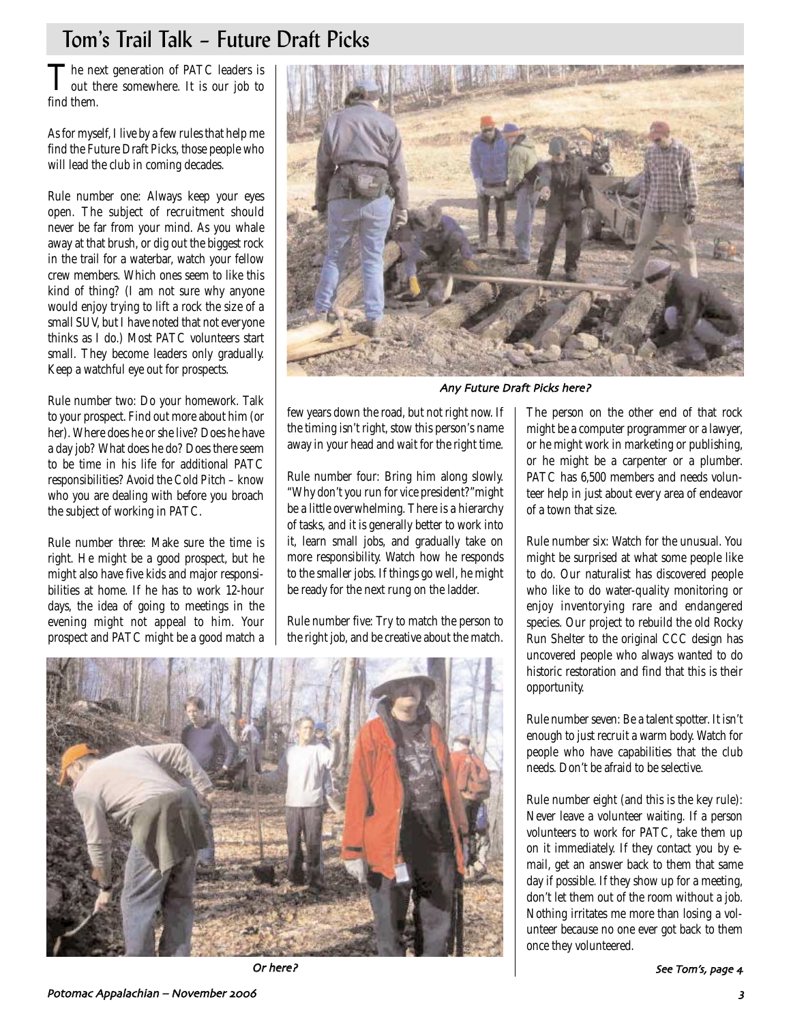## Tom's Trail Talk – Future Draft Picks

The next generation of PATC leaders is<br>out there somewhere. It is our job to find them.

As for myself, I live by a few rules that help me find the Future Draft Picks, those people who will lead the club in coming decades.

Rule number one: Always keep your eyes open. The subject of recruitment should never be far from your mind. As you whale away at that brush, or dig out the biggest rock in the trail for a waterbar, watch your fellow crew members. Which ones seem to like this kind of thing? (I am not sure why anyone would enjoy trying to lift a rock the size of a small SUV, but I have noted that not everyone thinks as I do.) Most PATC volunteers start small. They become leaders only gradually. Keep a watchful eye out for prospects.

Rule number two: Do your homework. Talk to your prospect. Find out more about him (or her). Where does he or she live? Does he have a day job? What does he do? Does there seem to be time in his life for additional PATC responsibilities? Avoid the Cold Pitch – know who you are dealing with before you broach the subject of working in PATC.

Rule number three: Make sure the time is right. He might be a good prospect, but he might also have five kids and major responsibilities at home. If he has to work 12-hour days, the idea of going to meetings in the evening might not appeal to him. Your prospect and PATC might be a good match a



Any Future Draft Picks here?

few years down the road, but not right now. If the timing isn't right, stow this person's name away in your head and wait for the right time.

Rule number four: Bring him along slowly. "Why don't you run for vice president?"might be a little overwhelming. There is a hierarchy of tasks, and it is generally better to work into it, learn small jobs, and gradually take on more responsibility. Watch how he responds to the smaller jobs. If things go well, he might be ready for the next rung on the ladder.

Rule number five: Try to match the person to the right job, and be creative about the match.

The person on the other end of that rock might be a computer programmer or a lawyer, or he might work in marketing or publishing, or he might be a carpenter or a plumber. PATC has 6,500 members and needs volunteer help in just about every area of endeavor of a town that size.

Rule number six: Watch for the unusual. You might be surprised at what some people like to do. Our naturalist has discovered people who like to do water-quality monitoring or enjoy inventorying rare and endangered species. Our project to rebuild the old Rocky Run Shelter to the original CCC design has uncovered people who always wanted to do historic restoration and find that this is their opportunity.

Rule number seven: Be a talent spotter. It isn't enough to just recruit a warm body. Watch for people who have capabilities that the club needs. Don't be afraid to be selective.

Rule number eight (and this is the key rule): Never leave a volunteer waiting. If a person volunteers to work for PATC, take them up on it immediately. If they contact you by email, get an answer back to them that same day if possible. If they show up for a meeting, don't let them out of the room without a job. Nothing irritates me more than losing a volunteer because no one ever got back to them once they volunteered.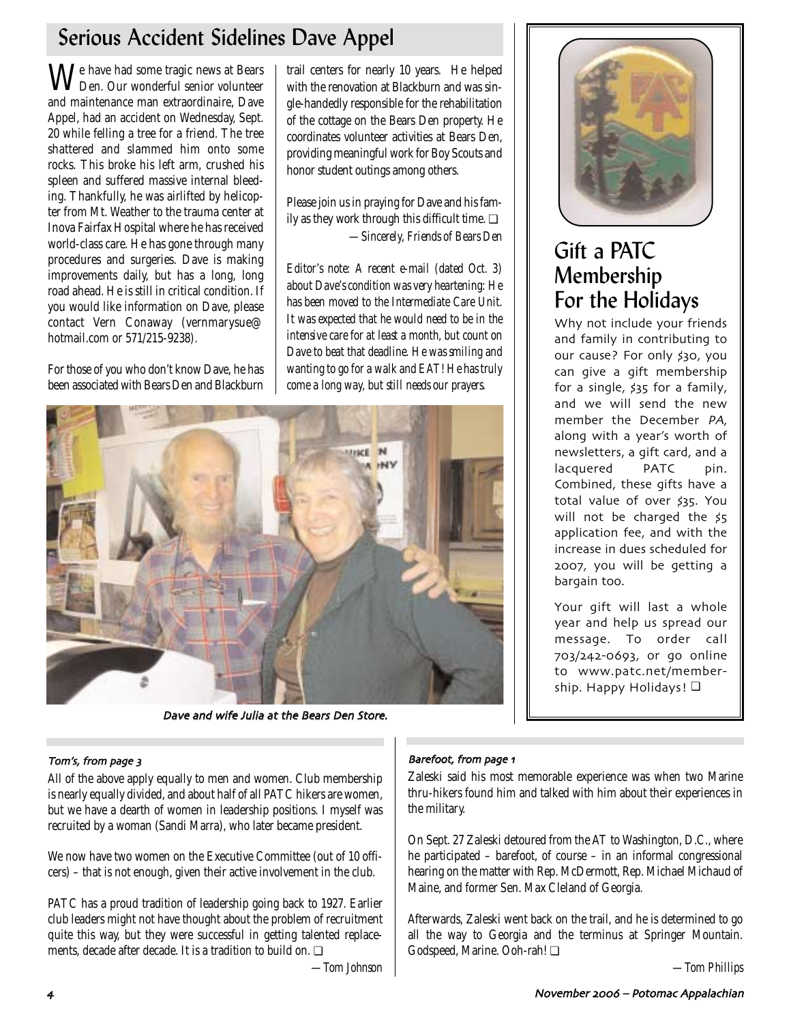## Serious Accident Sidelines Dave Appel

We have had some tragic news at Bears Den. Our wonderful senior volunteer and maintenance man extraordinaire, Dave Appel, had an accident on Wednesday, Sept. 20 while felling a tree for a friend. The tree shattered and slammed him onto some rocks. This broke his left arm, crushed his spleen and suffered massive internal bleeding. Thankfully, he was airlifted by helicopter from Mt. Weather to the trauma center at Inova Fairfax Hospital where he has received world-class care. He has gone through many procedures and surgeries. Dave is making improvements daily, but has a long, long road ahead. He is still in critical condition. If you would like information on Dave, please contact Vern Conaway (vernmarysue@ hotmail.com or 571/215-9238).

For those of you who don't know Dave, he has been associated with Bears Den and Blackburn

trail centers for nearly 10 years. He helped with the renovation at Blackburn and was single-handedly responsible for the rehabilitation of the cottage on the Bears Den property. He coordinates volunteer activities at Bears Den, providing meaningful work for Boy Scouts and honor student outings among others.

Please join us in praying for Dave and his family as they work through this difficult time.  $\Box$ *—Sincerely, Friends of Bears Den*

*Editor's note: A recent e-mail (dated Oct. 3) about Dave's condition was very heartening: He has been moved to the Intermediate Care Unit. It was expected that he would need to be in the intensive care for at least a month, but count on Dave to beat that deadline. He was smiling and wanting to go for a walk and EAT! He has truly come a long way, but still needs our prayers.*



Dave and wife Julia at the Bears Den Store

### Tom's, from page 3 Barefoot, the state of the state of the Barefoot, the Barefoot,

All of the above apply equally to men and women. Club membership is nearly equally divided, and about half of all PATC hikers are women, but we have a dearth of women in leadership positions. I myself was recruited by a woman (Sandi Marra), who later became president.

We now have two women on the Executive Committee (out of 10 officers) – that is not enough, given their active involvement in the club.

PATC has a proud tradition of leadership going back to 1927. Earlier club leaders might not have thought about the problem of recruitment quite this way, but they were successful in getting talented replacements, decade after decade. It is a tradition to build on. ❏

*—Tom Johnson*



## Gift a PATC Membership For the Holidays

Why not include your friends and family in contributing to our cause? For only \$30, you can give a gift membership for a single, \$35 for a family, and we will send the new member the December PA, along with a year's worth of newsletters a gift card and a lacquered PATC pin. Combined these gifts have a total value of over \$35. You will not be charged the \$5 application fee and with the increase in dues scheduled for 5 you will be getting a bargain too

Your gift will last a whole year and help us spread our message. To order call 703/242-0693, or go online to www.patc.net/membership. Happy Holidays! □

## Barefoot, from page 1

Zaleski said his most memorable experience was when two Marine thru-hikers found him and talked with him about their experiences in the military.

On Sept. 27 Zaleski detoured from the AT to Washington, D.C., where he participated – barefoot, of course – in an informal congressional hearing on the matter with Rep. McDermott, Rep. Michael Michaud of Maine, and former Sen. Max Cleland of Georgia.

Afterwards, Zaleski went back on the trail, and he is determined to go all the way to Georgia and the terminus at Springer Mountain. Godspeed, Marine. Ooh-rah! ❏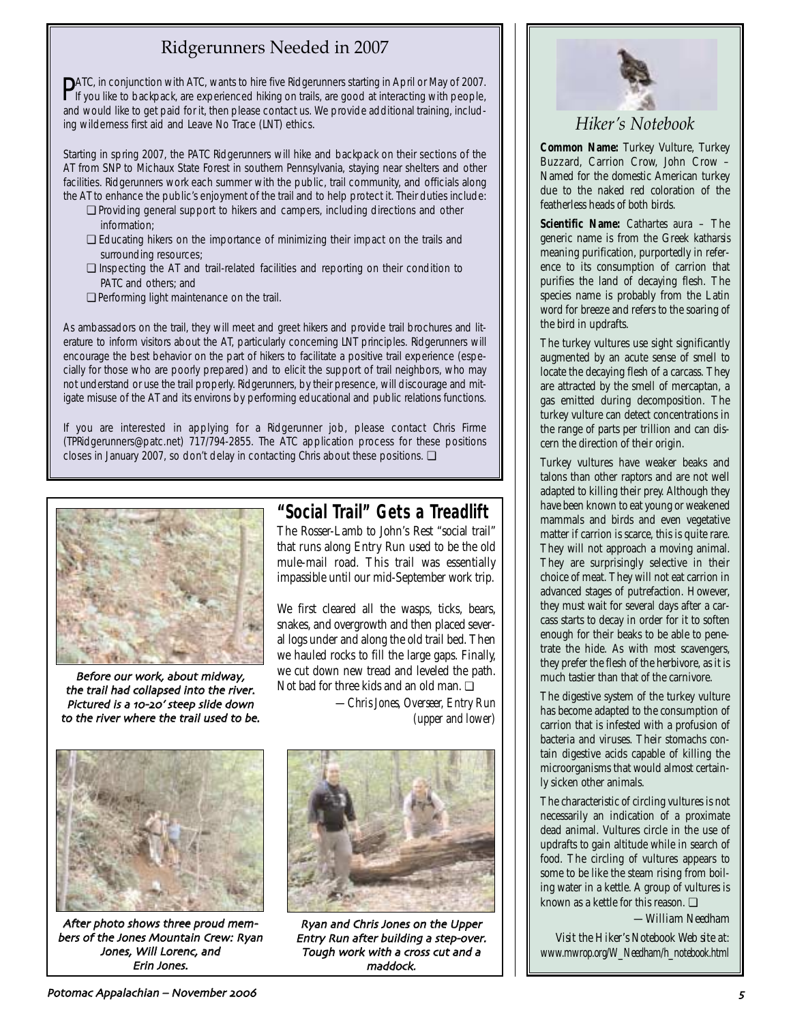## Ridgerunners Needed in 2007

PATC, in conjunction with ATC, wants to hire five Ridgerunners starting in April or May of 2007.<br>If you like to backpack, are experienced hiking on trails, are good at interacting with people, If you like to backpack, are experienced hiking on trails, are good at interacting with people, and would like to get paid for it, then please contact us. We provide additional training, including wilderness first aid and Leave No Trace (LNT) ethics.

Starting in spring 2007, the PATC Ridgerunners will hike and backpack on their sections of the AT from SNP to Michaux State Forest in southern Pennsylvania, staying near shelters and other facilities. Ridgerunners work each summer with the public, trail community, and officials along the AT to enhance the public's enjoyment of the trail and to help protect it. Their duties include:

- ❏ Providing general support to hikers and campers, including directions and other information;
- ❏ Educating hikers on the importance of minimizing their impact on the trails and surrounding resources;
- ❏ Inspecting the AT and trail-related facilities and reporting on their condition to PATC and others; and
- ❏ Performing light maintenance on the trail.

As ambassadors on the trail, they will meet and greet hikers and provide trail brochures and literature to inform visitors about the AT, particularly concerning LNT principles. Ridgerunners will encourage the best behavior on the part of hikers to facilitate a positive trail experience (especially for those who are poorly prepared) and to elicit the support of trail neighbors, who may not understand or use the trail properly. Ridgerunners, by their presence, will discourage and mitigate misuse of the AT and its environs by performing educational and public relations functions.

If you are interested in applying for a Ridgerunner job, please contact Chris Firme (TPRidgerunners@patc.net) 717/794-2855. The ATC application process for these positions closes in January 2007, so don't delay in contacting Chris about these positions. ❏



Before our work about midway the trail had collapsed into the river Pictured is a 10-20' steep slide down to the river where the trail used to be

## **"Social Trail" Gets a Treadlift**

The Rosser-Lamb to John's Rest "social trail" that runs along Entry Run used to be the old mule-mail road. This trail was essentially impassible until our mid-September work trip.

We first cleared all the wasps, ticks, bears, snakes, and overgrowth and then placed several logs under and along the old trail bed. Then we hauled rocks to fill the large gaps. Finally, we cut down new tread and leveled the path. Not bad for three kids and an old man. ❏

> *—Chris Jones, Overseer, Entry Run (upper and lower)*



After photo shows three proud members of the Jones Mountain Crew: Ryan Jones, Will Lorenc, and Erin Jones



Ryan and Chris Jones on the Upper Entry Run after building a step-over. Tough work with a cross cut and a maddock



## *Hiker's Notebook*

**Common Name:** Turkey Vulture, Turkey Buzzard, Carrion Crow, John Crow – Named for the domestic American turkey due to the naked red coloration of the featherless heads of both birds.

**Scientific Name:** *Cathartes aura* – The generic name is from the Greek *katharsis* meaning purification, purportedly in reference to its consumption of carrion that purifies the land of decaying flesh. The species name is probably from the Latin word for breeze and refers to the soaring of the bird in updrafts.

The turkey vultures use sight significantly augmented by an acute sense of smell to locate the decaying flesh of a carcass. They are attracted by the smell of mercaptan, a gas emitted during decomposition. The turkey vulture can detect concentrations in the range of parts per trillion and can discern the direction of their origin.

Turkey vultures have weaker beaks and talons than other raptors and are not well adapted to killing their prey. Although they have been known to eat young or weakened mammals and birds and even vegetative matter if carrion is scarce, this is quite rare. They will not approach a moving animal. They are surprisingly selective in their choice of meat. They will not eat carrion in advanced stages of putrefaction. However, they must wait for several days after a carcass starts to decay in order for it to soften enough for their beaks to be able to penetrate the hide. As with most scavengers, they prefer the flesh of the herbivore, as it is much tastier than that of the carnivore.

The digestive system of the turkey vulture has become adapted to the consumption of carrion that is infested with a profusion of bacteria and viruses. Their stomachs contain digestive acids capable of killing the microorganisms that would almost certainly sicken other animals.

The characteristic of circling vultures is not necessarily an indication of a proximate dead animal. Vultures circle in the use of updrafts to gain altitude while in search of food. The circling of vultures appears to some to be like the steam rising from boiling water in a kettle. A group of vultures is known as a kettle for this reason. ❏

*—William Needham*

*Visit the Hiker's Notebook Web site at: www.mwrop.org/W\_Needham/h\_notebook.html*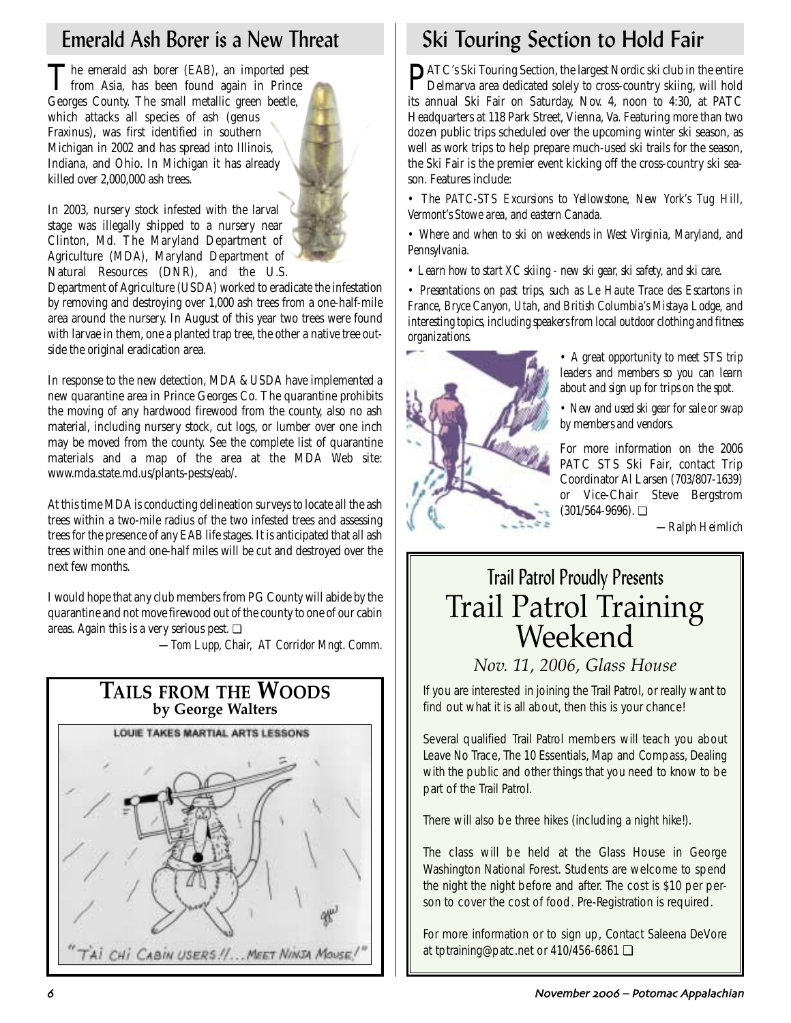The emerald ash borer (EAB), an imported pest from Asia, has been found again in Prince Georges County. The small metallic green beetle, which attacks all species of ash (genus Fraxinus), was first identified in southern Michigan in 2002 and has spread into Illinois, Indiana, and Ohio. In Michigan it has already killed over 2,000,000 ash trees.

In 2003, nursery stock infested with the larval stage was illegally shipped to a nursery near Clinton, Md. The Maryland Department of Agriculture (MDA), Maryland Department of Natural Resources (DNR), and the U.S.

Department of Agriculture (USDA) worked to eradicate the infestation by removing and destroying over 1,000 ash trees from a one-half-mile area around the nursery. In August of this year two trees were found with larvae in them, one a planted trap tree, the other a native tree outside the original eradication area.

In response to the new detection, MDA & USDA have implemented a new quarantine area in Prince Georges Co. The quarantine prohibits the moving of any hardwood firewood from the county, also no ash material, including nursery stock, cut logs, or lumber over one inch may be moved from the county. See the complete list of quarantine materials and a map of the area at the MDA Web site: www.mda.state.md.us/plants-pests/eab/.

At this time MDA is conducting delineation surveys to locate all the ash trees within a two-mile radius of the two infested trees and assessing trees for the presence of any EAB life stages. It is anticipated that all ash trees within one and one-half miles will be cut and destroyed over the next few months.

I would hope that any club members from PG County will abide by the quarantine and not move firewood out of the county to one of our cabin areas. Again this is a very serious pest. ❏

*—Tom Lupp, Chair, AT Corridor Mngt. Comm.* 



# Emerald Ash Borer is a New Threat Ski Touring Section to Hold Fair

PATC's Ski Touring Section, the largest Nordic ski club in the entire Delmarva area dedicated solely to cross-country skiing, will hold its annual Ski Fair on Saturday, Nov. 4, noon to 4:30, at PATC Headquarters at 118 Park Street, Vienna, Va. Featuring more than two dozen public trips scheduled over the upcoming winter ski season, as well as work trips to help prepare much-used ski trails for the season, the Ski Fair is the premier event kicking off the cross-country ski season. Features include:

*• The PATC-STS Excursions to Yellowstone, New York's Tug Hill, Vermont's Stowe area, and eastern Canada.*

*• Where and when to ski on weekends in West Virginia, Maryland, and Pennsylvania.*

*• Learn how to start XC skiing - new ski gear, ski safety, and ski care.*

*• Presentations on past trips, such as Le Haute Trace des Escartons in France, Bryce Canyon, Utah, and British Columbia's Mistaya Lodge, and interesting topics, including speakers from local outdoor clothing and fitness organizations.*



*• A great opportunity to meet STS trip leaders and members so you can learn about and sign up for trips on the spot.*

*• New and used ski gear for sale or swap by members and vendors.*

For more information on the 2006 PATC STS Ski Fair, contact Trip Coordinator Al Larsen (703/807-1639) or Vice-Chair Steve Bergstrom (301/564-9696). ❏

*—Ralph Heimlich*

# Trail Patrol Proudly Presents Trail Patrol Training Weekend

## *Nov. 11, 2006, Glass House*

If you are interested in joining the Trail Patrol, or really want to find out what it is all about, then this is your chance!

Several qualified Trail Patrol members will teach you about Leave No Trace, The 10 Essentials, Map and Compass, Dealing with the public and other things that you need to know to be part of the Trail Patrol.

There will also be three hikes (including a night hike!).

The class will be held at the Glass House in George Washington National Forest. Students are welcome to spend the night the night before and after. The cost is \$10 per person to cover the cost of food. Pre-Registration is required.

For more information or to sign up, Contact Saleena DeVore at tptraining@patc.net or 410/456-6861 ❏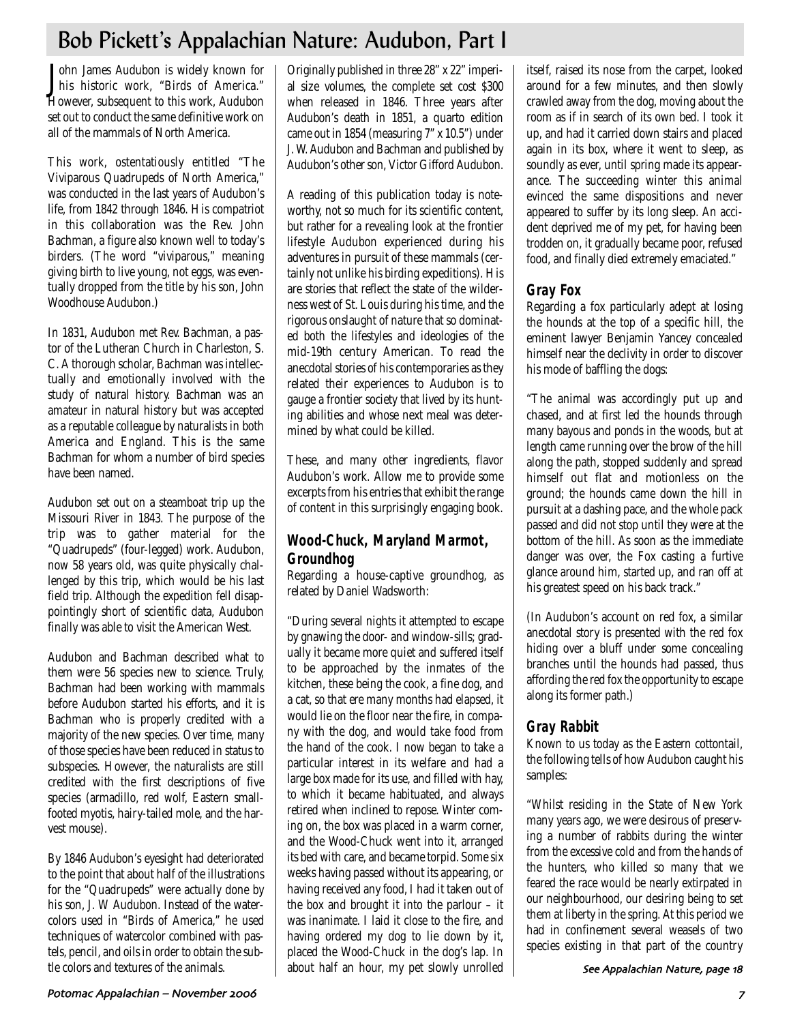## Bob Pickett's Appalachian Nature: Audubon, Part I

John James Audubon is widely known for<br>his historic work, "Birds of America." Tohn James Audubon is widely known for However, subsequent to this work, Audubon set out to conduct the same definitive work on all of the mammals of North America.

This work, ostentatiously entitled "The Viviparous Quadrupeds of North America," was conducted in the last years of Audubon's life, from 1842 through 1846. His compatriot in this collaboration was the Rev. John Bachman, a figure also known well to today's birders. (The word "viviparous," meaning giving birth to live young, not eggs, was eventually dropped from the title by his son, John Woodhouse Audubon.)

In 1831, Audubon met Rev. Bachman, a pastor of the Lutheran Church in Charleston, S. C. A thorough scholar, Bachman was intellectually and emotionally involved with the study of natural history. Bachman was an amateur in natural history but was accepted as a reputable colleague by naturalists in both America and England. This is the same Bachman for whom a number of bird species have been named.

Audubon set out on a steamboat trip up the Missouri River in 1843. The purpose of the trip was to gather material for the "Quadrupeds" (four-legged) work. Audubon, now 58 years old, was quite physically challenged by this trip, which would be his last field trip. Although the expedition fell disappointingly short of scientific data, Audubon finally was able to visit the American West.

Audubon and Bachman described what to them were 56 species new to science. Truly, Bachman had been working with mammals before Audubon started his efforts, and it is Bachman who is properly credited with a majority of the new species. Over time, many of those species have been reduced in status to subspecies. However, the naturalists are still credited with the first descriptions of five species (armadillo, red wolf, Eastern smallfooted myotis, hairy-tailed mole, and the harvest mouse).

By 1846 Audubon's eyesight had deteriorated to the point that about half of the illustrations for the "Quadrupeds" were actually done by his son, J. W Audubon. Instead of the watercolors used in "Birds of America," he used techniques of watercolor combined with pastels, pencil, and oils in order to obtain the subtle colors and textures of the animals.

Originally published in three 28" x 22" imperial size volumes, the complete set cost \$300 when released in 1846. Three years after Audubon's death in 1851, a quarto edition came out in 1854 (measuring 7" x 10.5") under J. W. Audubon and Bachman and published by Audubon's other son, Victor Gifford Audubon.

A reading of this publication today is noteworthy, not so much for its scientific content, but rather for a revealing look at the frontier lifestyle Audubon experienced during his adventures in pursuit of these mammals (certainly not unlike his birding expeditions). His are stories that reflect the state of the wilderness west of St. Louis during his time, and the rigorous onslaught of nature that so dominated both the lifestyles and ideologies of the mid-19th century American. To read the anecdotal stories of his contemporaries as they related their experiences to Audubon is to gauge a frontier society that lived by its hunting abilities and whose next meal was determined by what could be killed.

These, and many other ingredients, flavor Audubon's work. Allow me to provide some excerpts from his entries that exhibit the range of content in this surprisingly engaging book.

## **Wood-Chuck, Maryland Marmot, Groundhog**

Regarding a house-captive groundhog, as related by Daniel Wadsworth:

"During several nights it attempted to escape by gnawing the door- and window-sills; gradually it became more quiet and suffered itself to be approached by the inmates of the kitchen, these being the cook, a fine dog, and a cat, so that ere many months had elapsed, it would lie on the floor near the fire, in company with the dog, and would take food from the hand of the cook. I now began to take a particular interest in its welfare and had a large box made for its use, and filled with hay, to which it became habituated, and always retired when inclined to repose. Winter coming on, the box was placed in a warm corner, and the Wood-Chuck went into it, arranged its bed with care, and became torpid. Some six weeks having passed without its appearing, or having received any food, I had it taken out of the box and brought it into the parlour – it was inanimate. I laid it close to the fire, and having ordered my dog to lie down by it, placed the Wood-Chuck in the dog's lap. In about half an hour, my pet slowly unrolled itself, raised its nose from the carpet, looked around for a few minutes, and then slowly crawled away from the dog, moving about the room as if in search of its own bed. I took it up, and had it carried down stairs and placed again in its box, where it went to sleep, as soundly as ever, until spring made its appearance. The succeeding winter this animal evinced the same dispositions and never appeared to suffer by its long sleep. An accident deprived me of my pet, for having been trodden on, it gradually became poor, refused food, and finally died extremely emaciated."

## **Gray Fox**

Regarding a fox particularly adept at losing the hounds at the top of a specific hill, the eminent lawyer Benjamin Yancey concealed himself near the declivity in order to discover his mode of baffling the dogs:

"The animal was accordingly put up and chased, and at first led the hounds through many bayous and ponds in the woods, but at length came running over the brow of the hill along the path, stopped suddenly and spread himself out flat and motionless on the ground; the hounds came down the hill in pursuit at a dashing pace, and the whole pack passed and did not stop until they were at the bottom of the hill. As soon as the immediate danger was over, the Fox casting a furtive glance around him, started up, and ran off at his greatest speed on his back track."

(In Audubon's account on red fox, a similar anecdotal story is presented with the red fox hiding over a bluff under some concealing branches until the hounds had passed, thus affording the red fox the opportunity to escape along its former path.)

## **Gray Rabbit**

Known to us today as the Eastern cottontail, the following tells of how Audubon caught his samples:

"Whilst residing in the State of New York many years ago, we were desirous of preserving a number of rabbits during the winter from the excessive cold and from the hands of the hunters, who killed so many that we feared the race would be nearly extirpated in our neighbourhood, our desiring being to set them at liberty in the spring. At this period we had in confinement several weasels of two species existing in that part of the country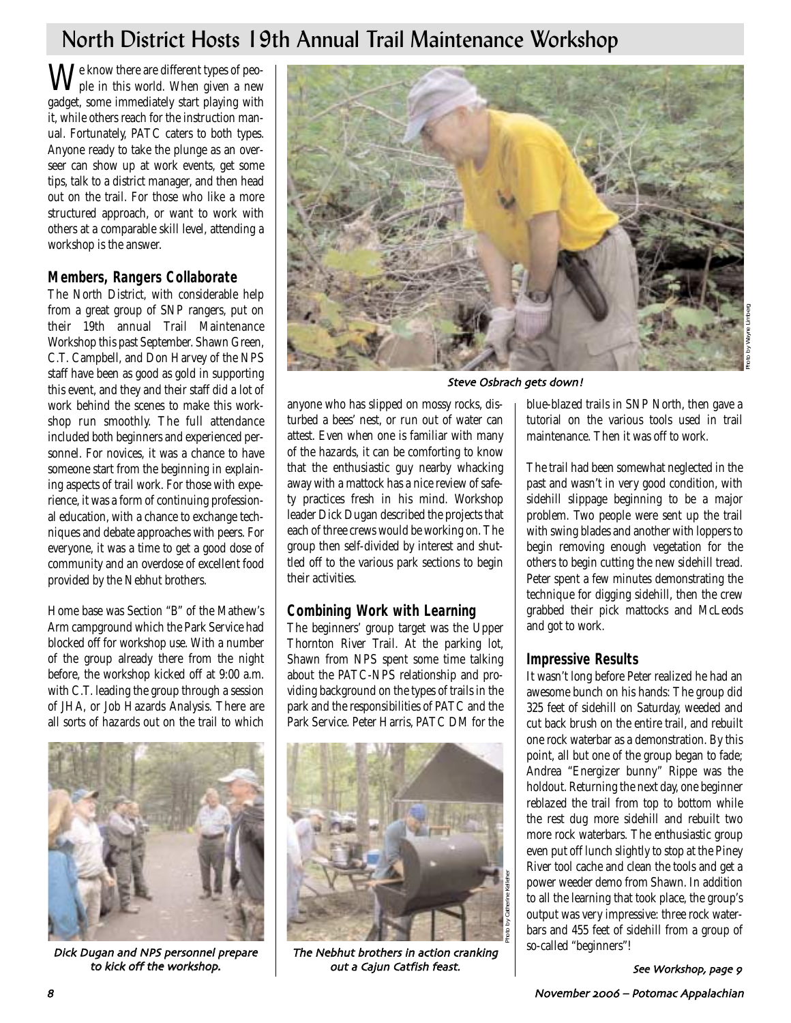## North District Hosts 19th Annual Trail Maintenance Workshop

 $\mathbf{W}^\text{e}$  know there are different types of peogadget, some immediately start playing with it, while others reach for the instruction manual. Fortunately, PATC caters to both types. Anyone ready to take the plunge as an overseer can show up at work events, get some tips, talk to a district manager, and then head out on the trail. For those who like a more structured approach, or want to work with others at a comparable skill level, attending a workshop is the answer.

## **Members, Rangers Collaborate**

The North District, with considerable help from a great group of SNP rangers, put on their 19th annual Trail Maintenance Workshop this past September. Shawn Green, C.T. Campbell, and Don Harvey of the NPS staff have been as good as gold in supporting this event, and they and their staff did a lot of work behind the scenes to make this workshop run smoothly. The full attendance included both beginners and experienced personnel. For novices, it was a chance to have someone start from the beginning in explaining aspects of trail work. For those with experience, it was a form of continuing professional education, with a chance to exchange techniques and debate approaches with peers. For everyone, it was a time to get a good dose of community and an overdose of excellent food provided by the Nebhut brothers.

Home base was Section "B" of the Mathew's Arm campground which the Park Service had blocked off for workshop use. With a number of the group already there from the night before, the workshop kicked off at 9:00 a.m. with C.T. leading the group through a session of JHA, or Job Hazards Analysis. There are all sorts of hazards out on the trail to which



Dick Dugan and NPS personnel prepare to kick off the workshop



Steve Osbrach gets down!

anyone who has slipped on mossy rocks, disturbed a bees' nest, or run out of water can attest. Even when one is familiar with many of the hazards, it can be comforting to know that the enthusiastic guy nearby whacking away with a mattock has a nice review of safety practices fresh in his mind. Workshop leader Dick Dugan described the projects that each of three crews would be working on. The group then self-divided by interest and shuttled off to the various park sections to begin their activities.

## **Combining Work with Learning**

The beginners' group target was the Upper Thornton River Trail. At the parking lot, Shawn from NPS spent some time talking about the PATC-NPS relationship and providing background on the types of trails in the park and the responsibilities of PATC and the Park Service. Peter Harris, PATC DM for the



The Nebhut brothers in action cranking out a Cajun Catfish feast

blue-blazed trails in SNP North, then gave a tutorial on the various tools used in trail maintenance. Then it was off to work.

The trail had been somewhat neglected in the past and wasn't in very good condition, with sidehill slippage beginning to be a major problem. Two people were sent up the trail with swing blades and another with loppers to begin removing enough vegetation for the others to begin cutting the new sidehill tread. Peter spent a few minutes demonstrating the technique for digging sidehill, then the crew grabbed their pick mattocks and McLeods and got to work.

## **Impressive Results**

It wasn't long before Peter realized he had an awesome bunch on his hands: The group did 325 feet of sidehill on Saturday, weeded and cut back brush on the entire trail, and rebuilt one rock waterbar as a demonstration. By this point, all but one of the group began to fade; Andrea "Energizer bunny" Rippe was the holdout. Returning the next day, one beginner reblazed the trail from top to bottom while the rest dug more sidehill and rebuilt two more rock waterbars. The enthusiastic group even put off lunch slightly to stop at the Piney River tool cache and clean the tools and get a power weeder demo from Shawn. In addition to all the learning that took place, the group's output was very impressive: three rock waterbars and 455 feet of sidehill from a group of so-called "beginners"!

See Workshop page 8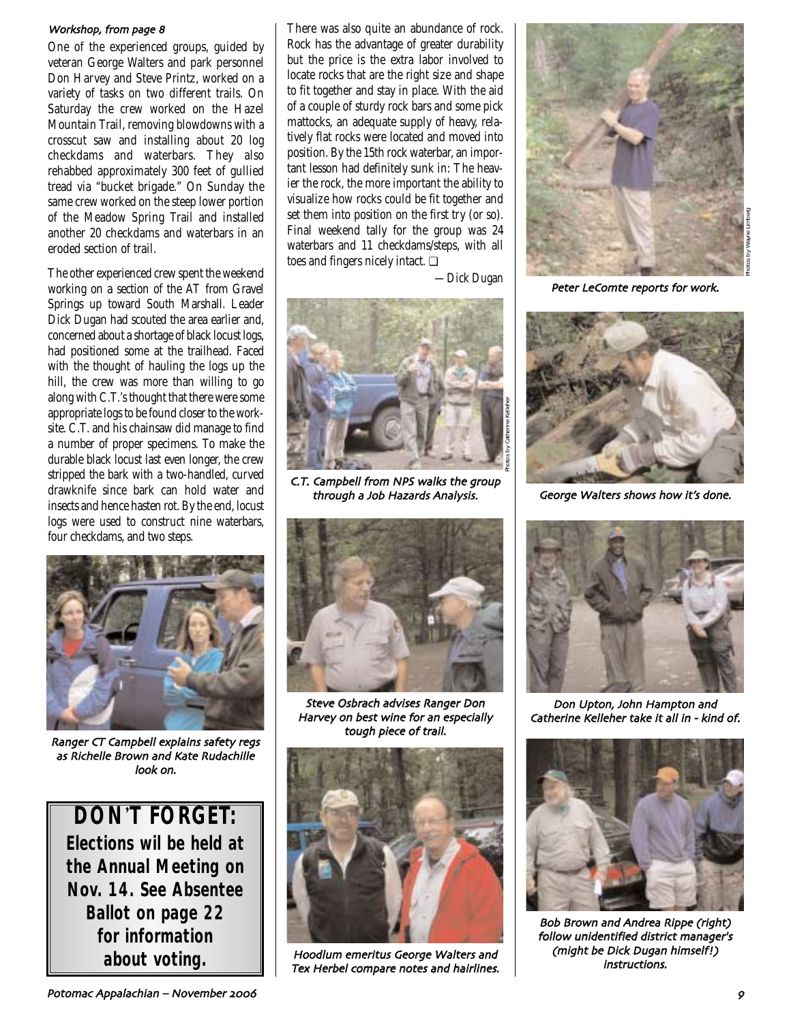### Workshop from page A

One of the experienced groups, guided by veteran George Walters and park personnel Don Harvey and Steve Printz, worked on a variety of tasks on two different trails. On Saturday the crew worked on the Hazel Mountain Trail, removing blowdowns with a crosscut saw and installing about 20 log checkdams and waterbars. They also rehabbed approximately 300 feet of gullied tread via "bucket brigade." On Sunday the same crew worked on the steep lower portion of the Meadow Spring Trail and installed another 20 checkdams and waterbars in an eroded section of trail.

The other experienced crew spent the weekend working on a section of the AT from Gravel Springs up toward South Marshall. Leader Dick Dugan had scouted the area earlier and, concerned about a shortage of black locust logs, had positioned some at the trailhead. Faced with the thought of hauling the logs up the hill, the crew was more than willing to go along with C.T.'s thought that there were some appropriate logs to be found closer to the worksite. C.T. and his chainsaw did manage to find a number of proper specimens. To make the durable black locust last even longer, the crew stripped the bark with a two-handled, curved drawknife since bark can hold water and insects and hence hasten rot. By the end, locust logs were used to construct nine waterbars, four checkdams, and two steps.



Ranger CT Campbell explains safety regs as Richelle Brown and Kate Rudachille look on

**DON**'**T FORGET: Elections wil be held at the Annual Meeting on Nov. 14. See Absentee Ballot on page 22 for information** 

There was also quite an abundance of rock. Rock has the advantage of greater durability but the price is the extra labor involved to locate rocks that are the right size and shape to fit together and stay in place. With the aid of a couple of sturdy rock bars and some pick mattocks, an adequate supply of heavy, relatively flat rocks were located and moved into position. By the 15th rock waterbar, an important lesson had definitely sunk in: The heavier the rock, the more important the ability to visualize how rocks could be fit together and set them into position on the first try (or so). Final weekend tally for the group was 24 waterbars and 11 checkdams/steps, with all toes and fingers nicely intact. ❏

*—Dick Dugan*



C.T. Campbell from NPS walks the group through a Job Hazards Analysis



Steve Osbrach advises Ranger Don Harvey on best wine for an especially tough piece of trail.



 $\small \bf{about\ voting.} \begin{array}{|l|} \hline \text{Hoodlum emeritus George Walters and} \end{array}$ 



Peter LeComte reports for work



George Walters shows how it's done



Don Upton John Hampton and Catherine Kelleher take it all in - kind of.



Bob Brown and Andrea Rippe (right) follow unidentified district manager's (might be Dick Dugan himself!) instructions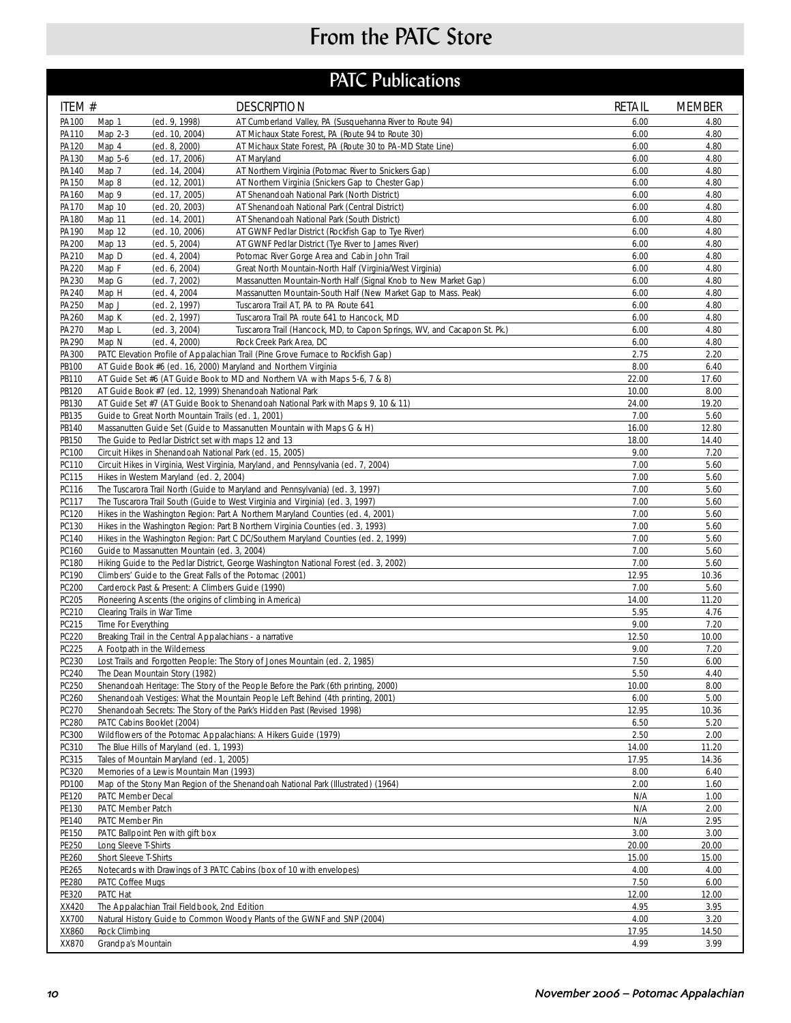# From the PATC Store

## **PATC Publications**

| ITEM #         | <b>DESCRIPTION</b>                                                                                                                                                  | <b>RETAIL</b> | <b>MEMBER</b> |  |
|----------------|---------------------------------------------------------------------------------------------------------------------------------------------------------------------|---------------|---------------|--|
| PA100          | (ed. 9, 1998)<br>AT Cumberland Valley, PA (Susquehanna River to Route 94)<br>Map 1                                                                                  | 6.00          | 4.80          |  |
| PA110          | (ed. 10, 2004)<br>AT Michaux State Forest, PA (Route 94 to Route 30)<br>Map 2-3                                                                                     | 6.00          | 4.80          |  |
| PA120          | Map 4<br>AT Michaux State Forest, PA (Route 30 to PA-MD State Line)<br>(ed. 8, 2000)                                                                                | 6.00          | 4.80          |  |
| PA130<br>PA140 | Map 5-6<br>(ed. 17, 2006)<br>AT Maryland<br>Map 7<br>(ed. 14, 2004)<br>AT Northern Virginia (Potomac River to Snickers Gap)                                         | 6.00<br>6.00  | 4.80<br>4.80  |  |
| PA150          | Map 8<br>(ed. 12, 2001)<br>AT Northern Virginia (Snickers Gap to Chester Gap)                                                                                       | 6.00          | 4.80          |  |
| PA160          | Map 9<br>(ed. 17, 2005)<br>AT Shenandoah National Park (North District)                                                                                             | 6.00          | 4.80          |  |
| PA170          | Map 10<br>(ed. 20, 2003)<br>AT Shenandoah National Park (Central District)                                                                                          | 6.00          | 4.80          |  |
| PA180          | AT Shenandoah National Park (South District)<br>Map 11<br>(ed. 14, 2001)                                                                                            | 6.00          | 4.80          |  |
| PA190          | Map 12<br>(ed. 10, 2006)<br>AT GWNF Pedlar District (Rockfish Gap to Tye River)                                                                                     | 6.00          | 4.80          |  |
| PA200<br>PA210 | Map 13<br>(ed. 5, 2004)<br>AT GWNF Pedlar District (Tye River to James River)<br>(ed. 4, 2004)<br>Map D<br>Potomac River Gorge Area and Cabin John Trail            | 6.00<br>6.00  | 4.80<br>4.80  |  |
| PA220          | Map F<br>(ed. 6, 2004)<br>Great North Mountain-North Half (Virginia/West Virginia)                                                                                  | 6.00          | 4.80          |  |
| PA230          | Map G<br>(ed. 7, 2002)<br>Massanutten Mountain-North Half (Signal Knob to New Market Gap)                                                                           | 6.00          | 4.80          |  |
| PA240          | Map H<br>(ed. 4, 2004)<br>Massanutten Mountain-South Half (New Market Gap to Mass. Peak)                                                                            | 6.00          | 4.80          |  |
| PA250          | Map J<br>(ed. 2, 1997)<br>Tuscarora Trail AT, PA to PA Route 641                                                                                                    | 6.00          | 4.80          |  |
| PA260          | Map K<br>(ed. 2, 1997)<br>Tuscarora Trail PA route 641 to Hancock, MD                                                                                               | 6.00          | 4.80          |  |
| PA270          | Map L<br>(ed. 3, 2004)<br>Tuscarora Trail (Hancock, MD, to Capon Springs, WV, and Cacapon St. Pk.)                                                                  | 6.00          | 4.80          |  |
| PA290          | (ed. 4, 2000)<br>Map N<br>Rock Creek Park Area, DC                                                                                                                  | 6.00          | 4.80          |  |
| PA300<br>PB100 | PATC Elevation Profile of Appalachian Trail (Pine Grove Furnace to Rockfish Gap)                                                                                    | 2.75<br>8.00  | 2.20<br>6.40  |  |
| PB110          | AT Guide Book #6 (ed. 16, 2000) Maryland and Northern Virginia<br>AT Guide Set #6 (AT Guide Book to MD and Northern VA with Maps 5-6, 7 & 8)                        | 22.00         | 17.60         |  |
| PB120          | AT Guide Book #7 (ed. 12, 1999) Shenandoah National Park                                                                                                            | 10.00         | 8.00          |  |
| PB130          | AT Guide Set #7 (AT Guide Book to Shenandoah National Park with Maps 9, 10 & 11)                                                                                    | 24.00         | 19.20         |  |
| PB135          | Guide to Great North Mountain Trails (ed. 1, 2001)                                                                                                                  | 7.00          | 5.60          |  |
| PB140          | Massanutten Guide Set (Guide to Massanutten Mountain with Maps G & H)                                                                                               | 16.00         | 12.80         |  |
| PB150          | The Guide to Pedlar District set with maps 12 and 13                                                                                                                | 18.00         | 14.40         |  |
| PC100          | Circuit Hikes in Shenandoah National Park (ed. 15, 2005)                                                                                                            | 9.00          | 7.20          |  |
| PC110          | Circuit Hikes in Virginia, West Virginia, Maryland, and Pennsylvania (ed. 7, 2004)                                                                                  | 7.00<br>7.00  | 5.60<br>5.60  |  |
| PC115<br>PC116 | Hikes in Western Maryland (ed. 2, 2004)<br>The Tuscarora Trail North (Guide to Maryland and Pennsylvania) (ed. 3, 1997)                                             | 7.00          | 5.60          |  |
| PC117          | The Tuscarora Trail South (Guide to West Virginia and Virginia) (ed. 3, 1997)                                                                                       | 7.00          | 5.60          |  |
| PC120          | Hikes in the Washington Region: Part A Northern Maryland Counties (ed. 4, 2001)                                                                                     | 7.00          | 5.60          |  |
| PC130          | Hikes in the Washington Region: Part B Northern Virginia Counties (ed. 3, 1993)                                                                                     | 7.00          | 5.60          |  |
| PC140          | Hikes in the Washington Region: Part C DC/Southern Maryland Counties (ed. 2, 1999)                                                                                  | 7.00          | 5.60          |  |
| PC160          | Guide to Massanutten Mountain (ed. 3, 2004)                                                                                                                         | 7.00          | 5.60          |  |
| PC180          | Hiking Guide to the Pedlar District, George Washington National Forest (ed. 3, 2002)                                                                                | 7.00          | 5.60          |  |
| PC190<br>PC200 | Climbers' Guide to the Great Falls of the Potomac (2001)<br>Carderock Past & Present: A Climbers Guide (1990)                                                       | 12.95<br>7.00 | 10.36<br>5.60 |  |
| PC205          | Pioneering Ascents (the origins of climbing in America)                                                                                                             | 14.00         | 11.20         |  |
| PC210          | Clearing Trails in War Time                                                                                                                                         | 5.95          | 4.76          |  |
| PC215          | Time For Everything                                                                                                                                                 | 9.00          | 7.20          |  |
| PC220          | Breaking Trail in the Central Appalachians - a narrative<br>12.50                                                                                                   |               |               |  |
| PC225          | A Footpath in the Wilderness                                                                                                                                        | 9.00          | 7.20          |  |
| PC230          | Lost Trails and Forgotten People: The Story of Jones Mountain (ed. 2, 1985)                                                                                         | 7.50          | 6.00          |  |
| PC240          | The Dean Mountain Story (1982)                                                                                                                                      | 5.50          | 4.40          |  |
| PC250<br>PC260 | Shenandoah Heritage: The Story of the People Before the Park (6th printing, 2000)<br>Shenandoah Vestiges: What the Mountain People Left Behind (4th printing, 2001) | 10.00<br>6.00 | 8.00<br>5.00  |  |
| PC270          | Shenandoah Secrets: The Story of the Park's Hidden Past (Revised 1998)                                                                                              | 12.95         | 10.36         |  |
| PC280          | PATC Cabins Booklet (2004)                                                                                                                                          | 6.50          | 5.20          |  |
| PC300          | Wildflowers of the Potomac Appalachians: A Hikers Guide (1979)                                                                                                      | 2.50          | 2.00          |  |
| PC310          | The Blue Hills of Maryland (ed. 1, 1993)                                                                                                                            | 14.00         | 11.20         |  |
| PC315          | Tales of Mountain Maryland (ed. 1, 2005)                                                                                                                            | 17.95         | 14.36         |  |
| PC320          | Memories of a Lewis Mountain Man (1993)                                                                                                                             | 8.00          | 6.40          |  |
| PD100          | Map of the Stony Man Region of the Shenandoah National Park (Illustrated) (1964)                                                                                    | 2.00          | 1.60          |  |
| PE120<br>PE130 | PATC Member Decal<br>PATC Member Patch                                                                                                                              | N/A<br>N/A    | 1.00<br>2.00  |  |
| PE140          | PATC Member Pin                                                                                                                                                     | N/A           | 2.95          |  |
| PE150          | PATC Ballpoint Pen with gift box                                                                                                                                    | 3.00          | 3.00          |  |
| PE250          | Long Sleeve T-Shirts                                                                                                                                                | 20.00         | 20.00         |  |
| PE260          | Short Sleeve T-Shirts                                                                                                                                               | 15.00         | 15.00         |  |
| PE265          | Notecards with Drawings of 3 PATC Cabins (box of 10 with envelopes)                                                                                                 | 4.00          | 4.00          |  |
| PE280          | PATC Coffee Mugs                                                                                                                                                    | 7.50          | 6.00          |  |
| PE320<br>XX420 | PATC Hat<br>The Appalachian Trail Fieldbook, 2nd Edition                                                                                                            | 12.00<br>4.95 | 12.00<br>3.95 |  |
| XX700          | Natural History Guide to Common Woody Plants of the GWNF and SNP (2004)                                                                                             | 4.00          | 3.20          |  |
| XX860          | Rock Climbing                                                                                                                                                       | 17.95         | 14.50         |  |
| XX870          | Grandpa's Mountain                                                                                                                                                  | 4.99          | 3.99          |  |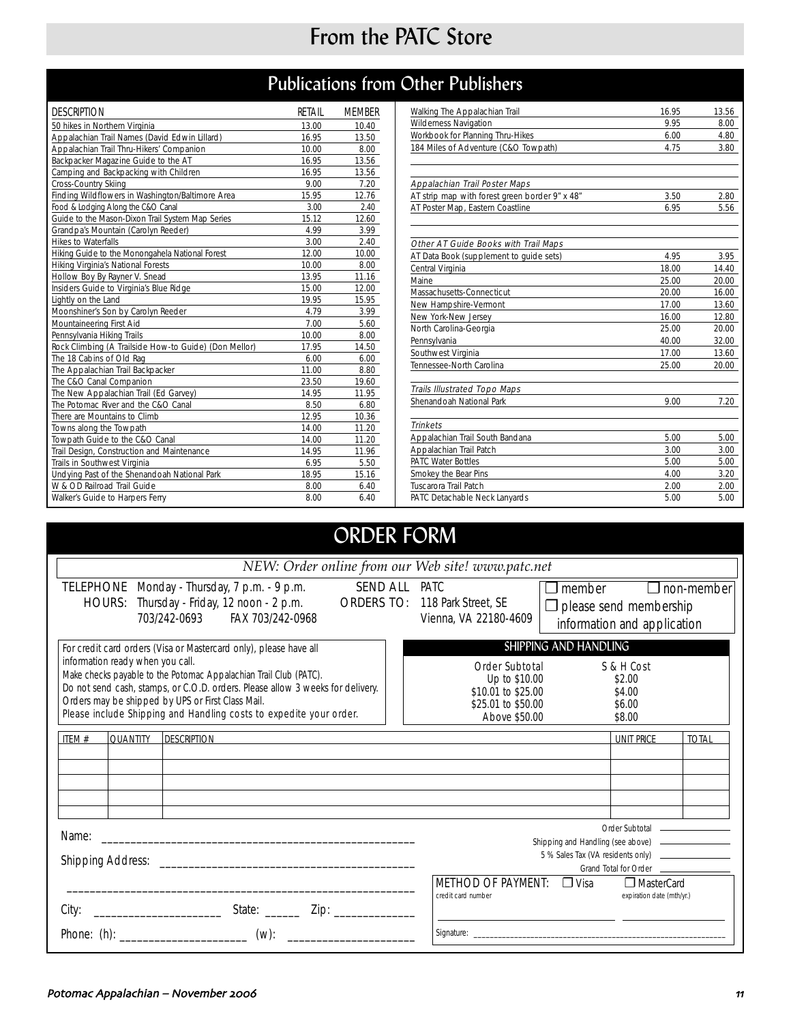## From the PATC Store

## Publications from Other Publishers

| <b>DESCRIPTION</b>                                    | RETAIL | <b>MEMBER</b> |
|-------------------------------------------------------|--------|---------------|
| 50 hikes in Northern Virginia                         | 13.00  | 10.40         |
| Appalachian Trail Names (David Edwin Lillard)         | 16.95  | 13.50         |
| Appalachian Trail Thru-Hikers' Companion              | 10.00  | 8.00          |
| Backpacker Magazine Guide to the AT                   | 16.95  | 13.56         |
| Camping and Backpacking with Children                 | 16.95  | 13.56         |
| Cross-Country Skiing                                  | 9.00   | 7.20          |
| Finding Wildflowers in Washington/Baltimore Area      | 15.95  | 12.76         |
| Food & Lodging Along the C&O Canal                    | 3.00   | 2.40          |
| Guide to the Mason-Dixon Trail System Map Series      | 15.12  | 12.60         |
| Grandpa's Mountain (Carolyn Reeder)                   | 4.99   | 3.99          |
| <b>Hikes to Waterfalls</b>                            | 3.00   | 2.40          |
| Hiking Guide to the Monongahela National Forest       | 12.00  | 10.00         |
| Hiking Virginia's National Forests                    | 10.00  | 8.00          |
| Hollow Boy By Rayner V. Snead                         | 13.95  | 11.16         |
| Insiders Guide to Virginia's Blue Ridge               | 15.00  | 12.00         |
| Lightly on the Land                                   | 19.95  | 15.95         |
| Moonshiner's Son by Carolyn Reeder                    | 4.79   | 3.99          |
| Mountaineering First Aid                              | 7.00   | 5.60          |
| Pennsylvania Hiking Trails                            | 10.00  | 8.00          |
| Rock Climbing (A Trailside How-to Guide) (Don Mellor) | 17.95  | 14.50         |
| The 18 Cabins of Old Rag                              | 6.00   | 6.00          |
| The Appalachian Trail Backpacker                      | 11.00  | 8.80          |
| The C&O Canal Companion                               | 23.50  | 19.60         |
| The New Appalachian Trail (Ed Garvey)                 | 14.95  | 11.95         |
| The Potomac River and the C&O Canal                   | 8.50   | 6.80          |
| There are Mountains to Climb                          | 12.95  | 10.36         |
| Towns along the Towpath                               | 14.00  | 11.20         |
| Towpath Guide to the C&O Canal                        | 14.00  | 11.20         |
| Trail Design, Construction and Maintenance            | 14.95  | 11.96         |
| Trails in Southwest Virginia                          | 6.95   | 5.50          |
| Undying Past of the Shenandoah National Park          | 18.95  | 15.16         |
| W & OD Railroad Trail Guide                           | 8.00   | 6.40          |
| Walker's Guide to Harpers Ferry                       | 8.00   | 6.40          |

| Walking The Appalachian Trail                  | 16.95 | 13.56 |
|------------------------------------------------|-------|-------|
| <b>Wilderness Navigation</b>                   | 9.95  | 8.00  |
| Workbook for Planning Thru-Hikes               | 6.00  | 4.80  |
| 184 Miles of Adventure (C&O Towpath)           | 4.75  | 3.80  |
|                                                |       |       |
| Appalachian Trail Poster Maps                  |       |       |
| AT strip map with forest green border 9" x 48" | 3.50  | 2.80  |
| AT Poster Map, Eastern Coastline               | 6.95  | 5.56  |
|                                                |       |       |
| Other AT Guide Books with Trail Maps           |       |       |
| AT Data Book (supplement to quide sets)        | 4.95  | 3.95  |
| Central Virginia                               | 18.00 | 14.40 |
| Maine                                          | 25.00 | 20.00 |
| Massachusetts-Connecticut                      | 20.00 | 16.00 |
| New Hampshire-Vermont                          | 17.00 | 13.60 |
| New York-New Jersey                            | 16.00 | 12.80 |
| North Carolina-Georgia                         | 25.00 | 20.00 |
| Pennsylvania                                   | 40.00 | 32.00 |
| Southwest Virginia                             | 17.00 | 13.60 |
| Tennessee-North Carolina                       | 25.00 | 20.00 |
| <b>Trails Illustrated Topo Maps</b>            |       |       |
| Shenandoah National Park                       | 9.00  | 7.20  |
| <b>Trinkets</b>                                |       |       |
| Appalachian Trail South Bandana                | 5.00  | 5.00  |
| Appalachian Trail Patch                        | 3.00  | 3.00  |
| <b>PATC Water Bottles</b>                      | 5.00  | 5.00  |
| Smokey the Bear Pins                           | 4.00  | 3.20  |
| Tuscarora Trail Patch                          | 2.00  | 2.00  |
| PATC Detachable Neck Lanyards                  | 5.00  | 5.00  |

## ORDER FORM

| NEW: Order online from our Web site! www.patc.net                                                                                                                                                                                                                                                                                                                                       |                                                                                                                                                                             |  |  |  |
|-----------------------------------------------------------------------------------------------------------------------------------------------------------------------------------------------------------------------------------------------------------------------------------------------------------------------------------------------------------------------------------------|-----------------------------------------------------------------------------------------------------------------------------------------------------------------------------|--|--|--|
| TELEPHONE Monday - Thursday, 7 p.m. - 9 p.m.<br>HOURS: Thursday - Friday, 12 noon - 2 p.m.<br><b>ORDERS TO:</b><br>703/242-0693 FAX 703/242-0968                                                                                                                                                                                                                                        | <b>SEND ALL PATC</b><br>$\Box$ member<br>$\Box$ non-member<br>118 Park Street, SE<br>$\Box$ please send membership<br>Vienna, VA 22180-4609<br>information and application  |  |  |  |
| For credit card orders (Visa or Mastercard only), please have all<br>information ready when you call.<br>Make checks payable to the Potomac Appalachian Trail Club (PATC).<br>Do not send cash, stamps, or C.O.D. orders. Please allow 3 weeks for delivery.<br>Orders may be shipped by UPS or First Class Mail.<br>Please include Shipping and Handling costs to expedite your order. | SHIPPING AND HANDLING<br>S & H Cost<br>Order Subtotal<br>Up to \$10.00<br>\$2.00<br>\$10.01 to \$25.00<br>\$4.00<br>\$25.01 to \$50.00<br>\$6.00<br>Above \$50.00<br>\$8.00 |  |  |  |
| <b>QUANTITY</b><br><b>DESCRIPTION</b><br>ITEM#                                                                                                                                                                                                                                                                                                                                          | <b>UNIT PRICE</b><br><b>TOTAL</b>                                                                                                                                           |  |  |  |
| Name:<br>Shipping Address:                                                                                                                                                                                                                                                                                                                                                              | Order Subtotal ________________<br>Grand Total for Order _____________<br><b>METHOD OF PAYMENT: D Visa</b><br><b>T</b> MasterCard                                           |  |  |  |
| City:                                                                                                                                                                                                                                                                                                                                                                                   | credit card number<br>expiration date (mth/yr.)                                                                                                                             |  |  |  |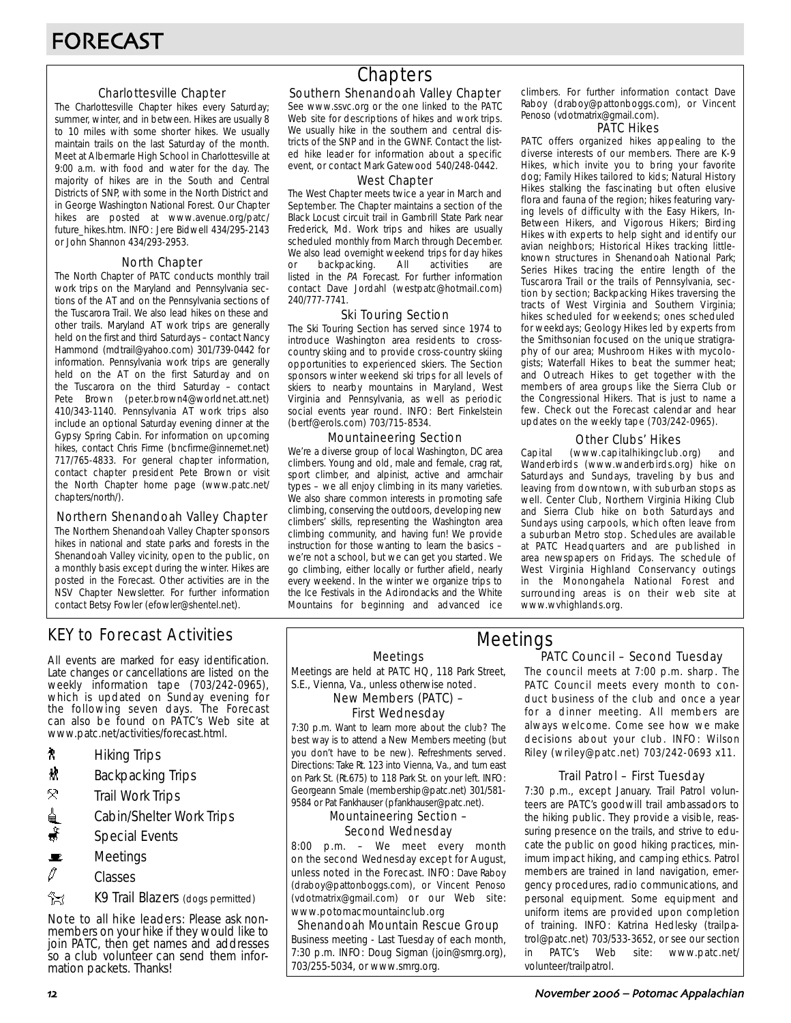### Charlottesville Chapter

The Charlottesville Chapter hikes every Saturday; summer, winter, and in between. Hikes are usually 8 to 10 miles with some shorter hikes. We usually maintain trails on the last Saturday of the month. Meet at Albermarle High School in Charlottesville at 9:00 a.m. with food and water for the day. The majority of hikes are in the South and Central Districts of SNP, with some in the North District and in George Washington National Forest. Our Chapter hikes are posted at www.avenue.org/patc/ future\_hikes.htm. INFO: Jere Bidwell 434/295-2143 or John Shannon 434/293-2953.

### North Chapter

The North Chapter of PATC conducts monthly trail work trips on the Maryland and Pennsylvania sections of the AT and on the Pennsylvania sections of the Tuscarora Trail. We also lead hikes on these and other trails. Maryland AT work trips are generally held on the first and third Saturdays – contact Nancy Hammond (mdtrail@yahoo.com) 301/739-0442 for information. Pennsylvania work trips are generally held on the AT on the first Saturday and on the Tuscarora on the third Saturday – contact Pete Brown (peter.brown4@worldnet.att.net) 410/343-1140. Pennsylvania AT work trips also include an optional Saturday evening dinner at the Gypsy Spring Cabin. For information on upcoming hikes, contact Chris Firme (bncfirme@innernet.net) 717/765-4833. For general chapter information, contact chapter president Pete Brown or visit the North Chapter home page (www.patc.net/ chapters/north/).

### Northern Shenandoah Valley Chapter

The Northern Shenandoah Valley Chapter sponsors hikes in national and state parks and forests in the Shenandoah Valley vicinity, open to the public, on a monthly basis except during the winter. Hikes are posted in the Forecast. Other activities are in the NSV Chapter Newsletter. For further information contact Betsy Fowler (efowler@shentel.net).

## KEY to Forecast Activities

All events are marked for easy identification. Late changes or cancellations are listed on the weekly information tape (703/242-0965), which is updated on Sunday evening for the following seven days. The Forecast can also be found on PATC's Web site at www.patc.net/activities/forecast.html.

- **A** Hiking Trips
- $\mathbf{\ddot{x}}$  Backpacking Trips
- $\mathcal{R}$  Trail Work Trips
- <u>d</u> Cabin/Shelter Work Trips
- $\ddot{\bullet}$  Special Events
- $\blacksquare$  Meetings
- $\mathscr O$  Classes
- **EX** K9 Trail Blazers (dogs permitted)

Note to all hike leaders: Please ask nonmembers on your hike if they would like to join PATC, then get names and addresses so a club volunteer can send them information packets. Thanks!

## **Chapters**

### Southern Shenandoah Valley Chapter

See www.ssvc.org or the one linked to the PATC Web site for descriptions of hikes and work trips. We usually hike in the southern and central districts of the SNP and in the GWNF. Contact the listed hike leader for information about a specific event, or contact Mark Gatewood 540/248-0442.

### West Chapter

The West Chapter meets twice a year in March and September. The Chapter maintains a section of the Black Locust circuit trail in Gambrill State Park near Frederick, Md. Work trips and hikes are usually scheduled monthly from March through December. We also lead overnight weekend trips for day hikes or backpacking. All activities are listed in the PA Forecast. For further information contact Dave Jordahl (westpatc@hotmail.com) 240/777-7741.

### Ski Touring Section

The Ski Touring Section has served since 1974 to introduce Washington area residents to crosscountry skiing and to provide cross-country skiing opportunities to experienced skiers. The Section sponsors winter weekend ski trips for all levels of skiers to nearby mountains in Maryland, West Virginia and Pennsylvania, as well as periodic social events year round. INFO: Bert Finkelstein (bertf@erols.com) 703/715-8534.

### Mountaineering Section

We're a diverse group of local Washington, DC area climbers. Young and old, male and female, crag rat, sport climber, and alpinist, active and armchair types – we all enjoy climbing in its many varieties. We also share common interests in promoting safe climbing, conserving the outdoors, developing new climbers' skills, representing the Washington area climbing community, and having fun! We provide instruction for those wanting to learn the basics – we're not a school, but we can get you started. We go climbing, either locally or further afield, nearly every weekend. In the winter we organize trips to the Ice Festivals in the Adirondacks and the White Mountains for beginning and advanced ice

climbers. For further information contact Dave Raboy (draboy@pattonboggs.com), or Vincent Penoso (vdotmatrix@gmail.com).

#### PATC Hikes

PATC offers organized hikes appealing to the diverse interests of our members. There are K-9 Hikes, which invite you to bring your favorite dog; Family Hikes tailored to kids; Natural History Hikes stalking the fascinating but often elusive flora and fauna of the region; hikes featuring varying levels of difficulty with the Easy Hikers, In-Between Hikers, and Vigorous Hikers; Birding Hikes with experts to help sight and identify our avian neighbors; Historical Hikes tracking littleknown structures in Shenandoah National Park; Series Hikes tracing the entire length of the Tuscarora Trail or the trails of Pennsylvania, section by section; Backpacking Hikes traversing the tracts of West Virginia and Southern Virginia; hikes scheduled for weekends; ones scheduled for weekdays; Geology Hikes led by experts from the Smithsonian focused on the unique stratigraphy of our area; Mushroom Hikes with mycologists; Waterfall Hikes to beat the summer heat; and Outreach Hikes to get together with the members of area groups like the Sierra Club or the Congressional Hikers. That is just to name a few. Check out the Forecast calendar and hear updates on the weekly tape (703/242-0965).

### Other Clubs' Hikes

Capital (www.capitalhikingclub.org) and Wanderbirds (www.wanderbirds.org) hike on Saturdays and Sundays, traveling by bus and leaving from downtown, with suburban stops as well. Center Club, Northern Virginia Hiking Club and Sierra Club hike on both Saturdays and Sundays using carpools, which often leave from a suburban Metro stop. Schedules are available at PATC Headquarters and are published in area newspapers on Fridays. The schedule of West Virginia Highland Conservancy outings in the Monongahela National Forest and surrounding areas is on their web site at www.wvhighlands.org.

Meetings

Meetings are held at PATC HQ, 118 Park Street, S.E., Vienna, Va., unless otherwise noted.

New Members (PATC) –

## First Wednesday

7:30 p.m. Want to learn more about the club? The best way is to attend a New Members meeting (but you don't have to be new). Refreshments served. Directions: Take Rt. 123 into Vienna, Va., and turn east on Park St. (Rt.675) to 118 Park St. on your left. INFO: Georgeann Smale (membership@patc.net) 301/581- 9584 or Pat Fankhauser (pfankhauser@patc.net).

### Mountaineering Section – Second Wednesday

8:00 p.m. – We meet every month on the second Wednesday except for August, unless noted in the Forecast. INFO: Dave Raboy (draboy@pattonboggs.com), or Vincent Penoso (vdotmatrix@gmail.com) or our Web site: www.potomacmountainclub.org

Shenandoah Mountain Rescue Group Business meeting - Last Tuesday of each month, 7:30 p.m. INFO: Doug Sigman (join@smrg.org), 703/255-5034, or www.smrg.org.

### PATC Council – Second Tuesday Meetings

The council meets at 7:00 p.m. sharp. The PATC Council meets every month to conduct business of the club and once a year for a dinner meeting. All members are always welcome. Come see how we make decisions about your club. INFO: Wilson Riley (wriley@patc.net) 703/242-0693 x11.

### Trail Patrol – First Tuesday

7:30 p.m., except January. Trail Patrol volunteers are PATC's goodwill trail ambassadors to the hiking public. They provide a visible, reassuring presence on the trails, and strive to educate the public on good hiking practices, minimum impact hiking, and camping ethics. Patrol members are trained in land navigation, emergency procedures, radio communications, and personal equipment. Some equipment and uniform items are provided upon completion of training. INFO: Katrina Hedlesky (trailpatrol@patc.net) 703/533-3652, or see our section in PATC's Web site: www.patc.net/ volunteer/trailpatrol.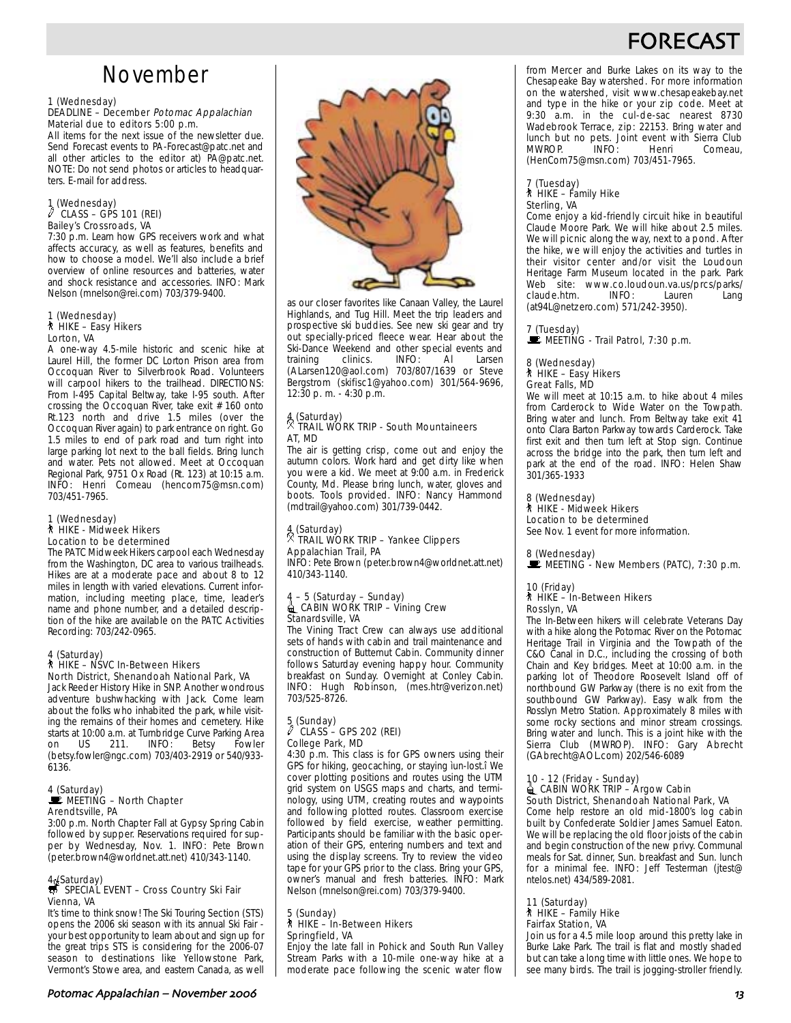## FORECAS

## November

#### 1 (Wednesday)

#### DEADLINE – December Potomac Appalachian Material due to editors 5:00 p.m.

All items for the next issue of the newsletter due. Send Forecast events to PA-Forecast@patc.net and all other articles to the editor at) PA@patc.net. NOTE: Do not send photos or articles to headquarters. E-mail for address.

### 1 (Wednesday)  $CLASS - GPS 101 (REI)$ Bailey's Crossroads, VA

7:30 p.m. Learn how GPS receivers work and what affects accuracy, as well as features, benefits and how to choose a model. We'll also include a brief overview of online resources and batteries, water and shock resistance and accessories. INFO: Mark Nelson (mnelson@rei.com) 703/379-9400.

## 1 (Wednesday)<br>∕≹ HIKE – Easy Hikers Lorton, VA

A one-way 4.5-mile historic and scenic hike at Laurel Hill, the former DC Lorton Prison area from Occoquan River to Silverbrook Road. Volunteers will carpool hikers to the trailhead. DIRECTIONS: From I-495 Capital Beltway, take I-95 south. After crossing the Occoquan River, take exit # 160 onto Rt.123 north and drive 1.5 miles (over the Occoquan River again) to park entrance on right. Go 1.5 miles to end of park road and turn right into large parking lot next to the ball fields. Bring lunch and water. Pets not allowed. Meet at Occoquan Regional Park, 9751 Ox Road (Rt. 123) at 10:15 a.m. INFO: Henri Comeau (hencom75@msn.com) 703/451-7965.

## 1 (Wednesday) ` HIKE - Midweek Hikers Location to be determined

The PATC Midweek Hikers carpool each Wednesday from the Washington, DC area to various trailheads. Hikes are at a moderate pace and about 8 to 12 miles in length with varied elevations. Current information, including meeting place, time, leader's name and phone number, and a detailed description of the hike are available on the PATC Activities Recording: 703/242-0965.

### 4 (Saturday)

#### ` HIKE – NSVC In-Between Hikers North District, Shenandoah National Park, VA

Jack Reeder History Hike in SNP. Another wondrous adventure bushwhacking with Jack. Come learn about the folks who inhabited the park, while visiting the remains of their homes and cemetery. Hike starts at 10:00 a.m. at Turnbridge Curve Parking Area on US 211. INFO: Betsy Fowler (betsy.fowler@ngc.com) 703/403-2919 or 540/933- 6136.

#### 4 (Saturday)  $\mathbf{\mathbf{\dot{w}}}$  MEETING – North Chapter Arendtsville, PA

3:00 p.m. North Chapter Fall at Gypsy Spring Cabin followed by supper. Reservations required for supper by Wednesday, Nov. 1. INFO: Pete Brown (peter.brown4@worldnet.att.net) 410/343-1140.

## 4 (Saturday)<br>
SPECIAL EVENT – Cross Country Ski Fair Vienna, VA

It's time to think snow! The Ski Touring Section (STS) opens the 2006 ski season with its annual Ski Fair your best opportunity to learn about and sign up for the great trips STS is considering for the 2006-07 season to destinations like Yellowstone Park, Vermont's Stowe area, and eastern Canada, as well



as our closer favorites like Canaan Valley, the Laurel Highlands, and Tug Hill. Meet the trip leaders and prospective ski buddies. See new ski gear and try out specially-priced fleece wear. Hear about the Ski-Dance Weekend and other special events and<br>training clinics. INFO: Al Larsen training (ALarsen120@aol.com) 703/807/1639 or Steve Bergstrom (skifisc1@yahoo.com) 301/564-9696, 12:30 p. m. - 4:30 p.m.

## 4 (Saturday) . TRAIL WORK TRIP - South Mountaineers AT, MD

The air is getting crisp, come out and enjoy the autumn colors. Work hard and get dirty like when you were a kid. We meet at 9:00 a.m. in Frederick County, Md. Please bring lunch, water, gloves and boots. Tools provided. INFO: Nancy Hammond (mdtrail@yahoo.com) 301/739-0442.

### 4 (Saturday) . TRAIL WORK TRIP – Yankee Clippers Appalachian Trail, PA

INFO: Pete Brown (peter.brown4@worldnet.att.net) 410/343-1140.

## 4 – 5 (Saturday – Sunday)<br>■ CABIN WORK TRIP – Vining Crew Stanardsville, VA

The Vining Tract Crew can always use additional sets of hands with cabin and trail maintenance and construction of Butternut Cabin. Community dinner follows Saturday evening happy hour. Community breakfast on Sunday. Overnight at Conley Cabin. INFO: Hugh Robinson, (mes.htr@verizon.net) 703/525-8726.

## 5 (Sunday) a CLASS – GPS 202 (REI) College Park, MD

4:30 p.m. This class is for GPS owners using their GPS for hiking, geocaching, or staying ìun-lost.î We cover plotting positions and routes using the UTM grid system on USGS maps and charts, and terminology, using UTM, creating routes and waypoints and following plotted routes. Classroom exercise followed by field exercise, weather permitting. Participants should be familiar with the basic operation of their GPS, entering numbers and text and using the display screens. Try to review the video tape for your GPS prior to the class. Bring your GPS, owner's manual and fresh batteries. INFO: Mark Nelson (mnelson@rei.com) 703/379-9400.

#### 5 (Sunday) ` HIKE – In-Between Hikers Springfield, VA

Enjoy the late fall in Pohick and South Run Valley Stream Parks with a 10-mile one-way hike at a moderate pace following the scenic water flow from Mercer and Burke Lakes on its way to the Chesapeake Bay watershed. For more information on the watershed, visit www.chesapeakebay.net and type in the hike or your zip code. Meet at 9:30 a.m. in the cul-de-sac nearest 8730 Wadebrook Terrace, zip: 22153. Bring water and lunch but no pets. Joint event with Sierra Club Comeau, (HenCom75@msn.com) 703/451-7965.

#### 7 (Tuesday) ` HIKE – Family Hike Sterling, VA

Come enjoy a kid-friendly circuit hike in beautiful Claude Moore Park. We will hike about 2.5 miles. We will picnic along the way, next to a pond. After the hike, we will enjoy the activities and turtles in their visitor center and/or visit the Loudoun Heritage Farm Museum located in the park. Park Web site: www.co.loudoun.va.us/prcs/parks/<br>claude.htm. INFO: Lauren Lang claude.htm. (at94L@netzero.com) 571/242-3950).

## 7 (Tuesday)<br>■ MEETING - Trail Patrol, 7:30 p.m.

## 8 (Wednesday) ` HIKE – Easy Hikers

Great Falls, MD

We will meet at 10:15 a.m. to hike about 4 miles from Carderock to Wide Water on the Towpath. Bring water and lunch. From Beltway take exit 41 onto Clara Barton Parkway towards Carderock. Take first exit and then turn left at Stop sign. Continue across the bridge into the park, then turn left and park at the end of the road. INFO: Helen Shaw 301/365-1933

8 (Wednesday) ` HIKE - Midweek Hikers Location to be determined

See Nov. 1 event for more information.

8 (Wednesday)<br>■ MEETING - New Members (PATC), 7:30 p.m.

### 10 (Friday)<br>┆ HIKE – In-Between Hikers Rosslyn, VA

The In-Between hikers will celebrate Veterans Day with a hike along the Potomac River on the Potomac Heritage Trail in Virginia and the Towpath of the C&O Canal in D.C., including the crossing of both Chain and Key bridges. Meet at 10:00 a.m. in the parking lot of Theodore Roosevelt Island off of northbound GW Parkway (there is no exit from the southbound GW Parkway). Easy walk from the Rosslyn Metro Station. Approximately 8 miles with some rocky sections and minor stream crossings. Bring water and lunch. This is a joint hike with the Sierra Club (MWROP). INFO: Gary Abrecht (GAbrecht@AOL.com) 202/546-6089

## 10 - 12 (Friday - Sunday)<br>● CABIN WORK TRIP – Argow Cabin South District, Shenandoah National Park, VA

Come help restore an old mid-1800's log cabin built by Confederate Soldier James Samuel Eaton. We will be replacing the old floor joists of the cabin and begin construction of the new privy. Communal meals for Sat. dinner, Sun. breakfast and Sun. lunch for a minimal fee. INFO: Jeff Testerman (jtest@ ntelos.net) 434/589-2081.

## 11 (Saturday) ` HIKE – Family Hike Fairfax Station, VA

Join us for a 4.5 mile loop around this pretty lake in Burke Lake Park. The trail is flat and mostly shaded but can take a long time with little ones. We hope to see many birds. The trail is jogging-stroller friendly.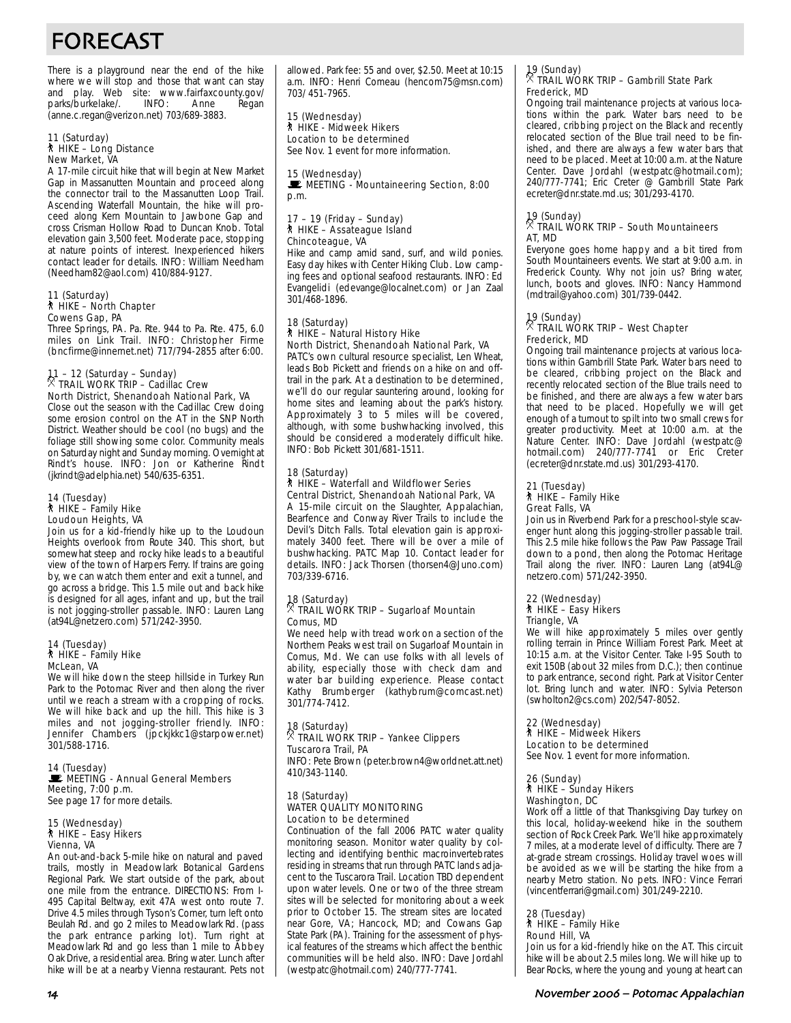# FORECAST

There is a playground near the end of the hike where we will stop and those that want can stay and play. Web site: www.fairfaxcounty.gov/<br>parks/burkelake/. INFO: Anne Regan parks/burkelake/. INFO: Anne Regan (anne.c.regan@verizon.net) 703/689-3883.

## 11 (Saturday)<br>१ HIKE – Long Distance New Market, VA

A 17-mile circuit hike that will begin at New Market Gap in Massanutten Mountain and proceed along the connector trail to the Massanutten Loop Trail. Ascending Waterfall Mountain, the hike will proceed along Kern Mountain to Jawbone Gap and cross Crisman Hollow Road to Duncan Knob. Total elevation gain 3,500 feet. Moderate pace, stopping at nature points of interest. Inexperienced hikers contact leader for details. INFO: William Needham (Needham82@aol.com) 410/884-9127.

#### 11 (Saturday) ` HIKE – North Chapter Cowens Gap, PA

Three Springs, PA. Pa. Rte. 944 to Pa. Rte. 475, 6.0 miles on Link Trail. INFO: Christopher Firme (bncfirme@innernet.net) 717/794-2855 after 6:00.

## 11 – 12 (Saturday – Sunday) . TRAIL WORK TRIP – Cadillac Crew North District, Shenandoah National Park, VA

Close out the season with the Cadillac Crew doing some erosion control on the AT in the SNP North District. Weather should be cool (no bugs) and the foliage still showing some color. Community meals on Saturday night and Sunday morning. Overnight at Rindt's house. INFO: Jon or Katherine Rindt (jkrindt@adelphia.net) 540/635-6351.

#### 14 (Tuesday)  $*$  HIKE – Family Hike Loudoun Heights, VA

Join us for a kid-friendly hike up to the Loudoun Heights overlook from Route 340. This short, but somewhat steep and rocky hike leads to a beautiful view of the town of Harpers Ferry. If trains are going by, we can watch them enter and exit a tunnel, and go across a bridge. This 1.5 mile out and back hike is designed for all ages, infant and up, but the trail is not jogging-stroller passable. INFO: Lauren Lang (at94L@netzero.com) 571/242-3950.

#### 14 (Tuesday)  $*$  HiKE – Family Hike McLean, VA

We will hike down the steep hillside in Turkey Run Park to the Potomac River and then along the river until we reach a stream with a cropping of rocks. We will hike back and up the hill. This hike is 3 miles and not jogging-stroller friendly. INFO: Jennifer Chambers (jpckjkkc1@starpower.net) 301/588-1716.

### 14 (Tuesday)<br>WE MEETING - Annual General Members Meeting, 7:00 p.m. See page 17 for more details.

#### 15 (Wednesday) ` HIKE – Easy Hikers Vienna, VA

An out-and-back 5-mile hike on natural and paved trails, mostly in Meadowlark Botanical Gardens Regional Park. We start outside of the park, about one mile from the entrance. DIRECTIONS: From I-495 Capital Beltway, exit 47A west onto route 7. Drive 4.5 miles through Tyson's Corner, turn left onto Beulah Rd. and go 2 miles to Meadowlark Rd. (pass the park entrance parking lot). Turn right at Meadowlark Rd and go less than 1 mile to Abbey Oak Drive, a residential area. Bring water. Lunch after hike will be at a nearby Vienna restaurant. Pets not allowed. Park fee: 55 and over, \$2.50. Meet at 10:15 a.m. INFO: Henri Comeau (hencom75@msn.com) 703/ 451-7965.

15 (Wednesday) ` HIKE - Midweek Hikers Location to be determined See Nov. 1 event for more information.

15 (Wednesday) MEETING - Mountaineering Section, 8:00 p.m.

## 17 – 19 (Friday – Sunday) ` HIKE – Assateague Island Chincoteague, VA

Hike and camp amid sand, surf, and wild ponies. Easy day hikes with Center Hiking Club. Low camping fees and optional seafood restaurants. INFO: Ed Evangelidi (edevange@localnet.com) or Jan Zaal 301/468-1896.

#### 18 (Saturday) ` HIKE – Natural History Hike North District, Shenandoah National Park, VA

PATC's own cultural resource specialist, Len Wheat, leads Bob Pickett and friends on a hike on and offtrail in the park. At a destination to be determined, we'll do our regular sauntering around, looking for home sites and learning about the park's history. Approximately 3 to 5 miles will be covered, although, with some bushwhacking involved, this should be considered a moderately difficult hike. INFO: Bob Pickett 301/681-1511.

#### 18 (Saturday) ` HIKE – Waterfall and Wildflower Series Central District, Shenandoah National Park, VA

A 15-mile circuit on the Slaughter, Appalachian, Bearfence and Conway River Trails to include the Devil's Ditch Falls. Total elevation gain is approximately 3400 feet. There will be over a mile of bushwhacking. PATC Map 10. Contact leader for details. INFO: Jack Thorsen (thorsen4@Juno.com) 703/339-6716.

### 18 (Saturday) . TRAIL WORK TRIP – Sugarloaf Mountain Comus, MD

We need help with tread work on a section of the Northern Peaks west trail on Sugarloaf Mountain in Comus, Md. We can use folks with all levels of ability, especially those with check dam and water bar building experience. Please contact Kathy Brumberger (kathybrum@comcast.net) 301/774-7412.

#### 18 (Saturday) . TRAIL WORK TRIP – Yankee Clippers Tuscarora Trail, PA

INFO: Pete Brown (peter.brown4@worldnet.att.net) 410/343-1140.

#### 18 (Saturday) WATER QUALITY MONITORING Location to be determined

Continuation of the fall 2006 PATC water quality monitoring season. Monitor water quality by collecting and identifying benthic macroinvertebrates residing in streams that run through PATC lands adjacent to the Tuscarora Trail. Location TBD dependent upon water levels. One or two of the three stream sites will be selected for monitoring about a week prior to October 15. The stream sites are located near Gore, VA; Hancock, MD; and Cowans Gap State Park (PA). Training for the assessment of physical features of the streams which affect the benthic communities will be held also. INFO: Dave Jordahl (westpatc@hotmail.com) 240/777-7741.

## 19 (Sunday) . TRAIL WORK TRIP – Gambrill State Park Frederick, MD

Ongoing trail maintenance projects at various locations within the park. Water bars need to be cleared, cribbing project on the Black and recently relocated section of the Blue trail need to be finished, and there are always a few water bars that need to be placed. Meet at 10:00 a.m. at the Nature Center. Dave Jordahl (westpatc@hotmail.com); 240/777-7741; Eric Creter @ Gambrill State Park ecreter@dnr.state.md.us; 301/293-4170.

### 19 (Sunday) . TRAIL WORK TRIP – South Mountaineers AT, MD

Everyone goes home happy and a bit tired from South Mountaineers events. We start at 9:00 a.m. in Frederick County. Why not join us? Bring water, lunch, boots and gloves. INFO: Nancy Hammond (mdtrail@yahoo.com) 301/739-0442.

### 19 (Sunday) . TRAIL WORK TRIP – West Chapter Frederick, MD

Ongoing trail maintenance projects at various locations within Gambrill State Park. Water bars need to be cleared, cribbing project on the Black and recently relocated section of the Blue trails need to be finished, and there are always a few water bars that need to be placed. Hopefully we will get enough of a turnout to spilt into two small crews for greater productivity. Meet at 10:00 a.m. at the Nature Center. INFO: Dave Jordahl (westpatc@ hotmail.com) 240/777-7741 or Eric Creter (ecreter@dnr.state.md.us) 301/293-4170.

#### 21 (Tuesday) ` HIKE – Family Hike Great Falls, VA

Join us in Riverbend Park for a preschool-style scavenger hunt along this jogging-stroller passable trail. This 2.5 mile hike follows the Paw Paw Passage Trail down to a pond, then along the Potomac Heritage Trail along the river. INFO: Lauren Lang (at94L@ netzero.com) 571/242-3950.

#### 22 (Wednesday) ` HIKE – Easy Hikers Triangle, VA

We will hike approximately 5 miles over gently rolling terrain in Prince William Forest Park. Meet at 10:15 a.m. at the Visitor Center. Take I-95 South to exit 150B (about 32 miles from D.C.); then continue to park entrance, second right. Park at Visitor Center lot. Bring lunch and water. INFO: Sylvia Peterson (swholton2@cs.com) 202/547-8052.

#### 22 (Wednesday) ` HIKE – Midweek Hikers Location to be determined

See Nov. 1 event for more information.

#### 26 (Sunday) ` HIKE – Sunday Hikers Washington, DC

Work off a little of that Thanksgiving Day turkey on this local, holiday-weekend hike in the southern section of Rock Creek Park. We'll hike approximately 7 miles, at a moderate level of difficulty. There are 7 at-grade stream crossings. Holiday travel woes will be avoided as we will be starting the hike from a nearby Metro station. No pets. INFO: Vince Ferrari (vincentferrari@gmail.com) 301/249-2210.

## 28 (Tuesday)

` HIKE – Family Hike Round Hill, VA

Join us for a kid-friendly hike on the AT. This circuit hike will be about 2.5 miles long. We will hike up to Bear Rocks, where the young and young at heart can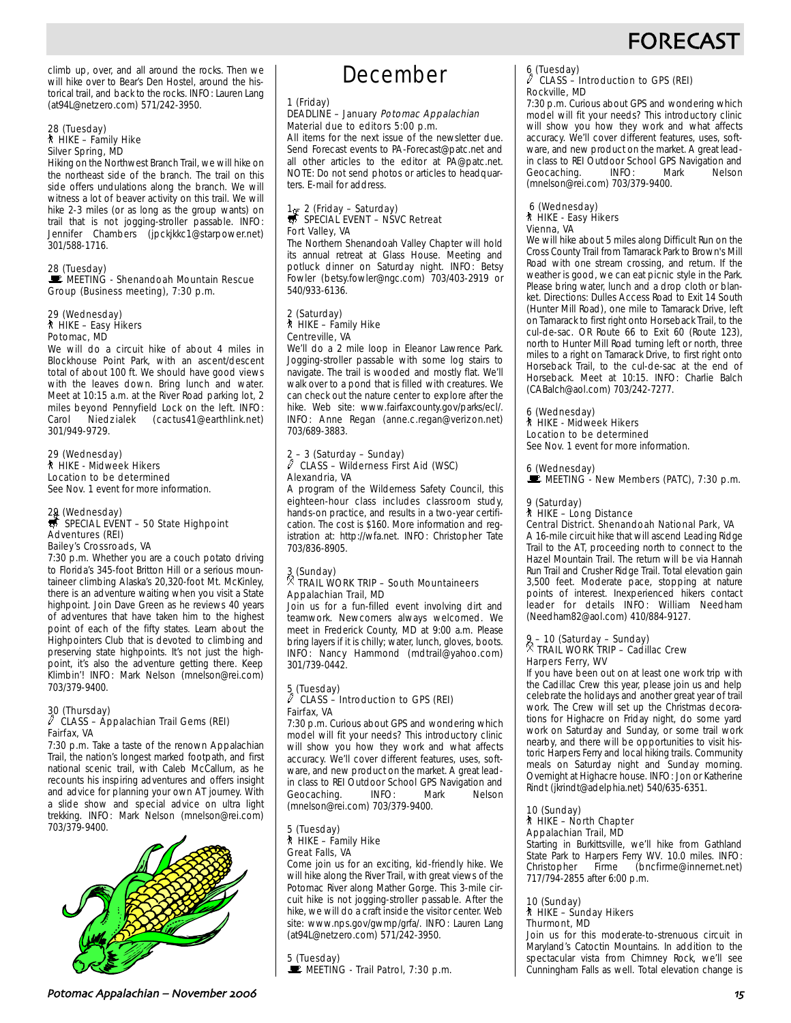climb up, over, and all around the rocks. Then we will hike over to Bear's Den Hostel, around the historical trail, and back to the rocks. INFO: Lauren Lang (at94L@netzero.com) 571/242-3950.

#### 28 (Tuesday) ` HIKE – Family Hike Silver Spring, MD

Hiking on the Northwest Branch Trail, we will hike on the northeast side of the branch. The trail on this side offers undulations along the branch. We will witness a lot of beaver activity on this trail. We will hike 2-3 miles (or as long as the group wants) on trail that is not jogging-stroller passable. INFO: Jennifer Chambers (jpckjkkc1@starpower.net) 301/588-1716.

#### 28 (Tuesday) MEETING - Shenandoah Mountain Rescue Group (Business meeting), 7:30 p.m.

#### 29 (Wednesday) ` HIKE – Easy Hikers Potomac, MD

We will do a circuit hike of about 4 miles in Blockhouse Point Park, with an ascent/descent total of about 100 ft. We should have good views with the leaves down. Bring lunch and water. Meet at 10:15 a.m. at the River Road parking lot, 2 miles beyond Pennyfield Lock on the left. INFO: Carol Niedzialek (cactus41@earthlink.net) 301/949-9729.

### 29 (Wednesday) ` HIKE - Midweek Hikers Location to be determined

See Nov. 1 event for more information.

## 29 (Wednesday)<br>S SPECIAL EVENT – 50 State Highpoint Adventures (REI) Bailey's Crossroads, VA

7:30 p.m. Whether you are a couch potato driving to Florida's 345-foot Britton Hill or a serious mountaineer climbing Alaska's 20,320-foot Mt. McKinley, there is an adventure waiting when you visit a State highpoint. Join Dave Green as he reviews 40 years of adventures that have taken him to the highest point of each of the fifty states. Learn about the Highpointers Club that is devoted to climbing and preserving state highpoints. It's not just the highpoint, it's also the adventure getting there. Keep Klimbin'! INFO: Mark Nelson (mnelson@rei.com) 703/379-9400.

## 30 (Thursday) a CLASS – Appalachian Trail Gems (REI) Fairfax, VA

7:30 p.m. Take a taste of the renown Appalachian Trail, the nation's longest marked footpath, and first national scenic trail, with Caleb McCallum, as he recounts his inspiring adventures and offers insight and advice for planning your own AT journey. With a slide show and special advice on ultra light trekking. INFO: Mark Nelson (mnelson@rei.com) 703/379-9400.



## December

### 1 (Friday)

#### DEADLINE – January Potomac Appalachian Material due to editors 5:00 p.m.

All items for the next issue of the newsletter due. Send Forecast events to PA-Forecast@patc.net and all other articles to the editor at PA@patc.net. NOTE: Do not send photos or articles to headquarters. E-mail for address.

## 1  $\frac{1}{\sqrt{5}}$  2 (Friday – Saturday)<br>
SPECIAL EVENT – NSVC Retreat Fort Valley, VA

The Northern Shenandoah Valley Chapter will hold its annual retreat at Glass House. Meeting and potluck dinner on Saturday night. INFO: Betsy Fowler (betsy.fowler@ngc.com) 703/403-2919 or 540/933-6136.

#### 2 (Saturday)  $*$  HIKE – Family Hike Centreville, VA

We'll do a 2 mile loop in Eleanor Lawrence Park. Jogging-stroller passable with some log stairs to navigate. The trail is wooded and mostly flat. We'll walk over to a pond that is filled with creatures. We can check out the nature center to explore after the hike. Web site: www.fairfaxcounty.gov/parks/ecl/. INFO: Anne Regan (anne.c.regan@verizon.net) 703/689-3883.

## 2 – 3 (Saturday – Sunday) a CLASS – Wilderness First Aid (WSC) Alexandria, VA

A program of the Wilderness Safety Council, this eighteen-hour class includes classroom study, hands-on practice, and results in a two-year certification. The cost is \$160. More information and registration at: http://wfa.net. INFO: Christopher Tate 703/836-8905.

## 3 (Sunday) . TRAIL WORK TRIP – South Mountaineers Appalachian Trail, MD

Join us for a fun-filled event involving dirt and teamwork. Newcomers always welcomed. We meet in Frederick County, MD at 9:00 a.m. Please bring layers if it is chilly; water, lunch, gloves, boots. INFO: Nancy Hammond (mdtrail@yahoo.com) 301/739-0442.

#### 5 (Tuesday) a CLASS – Introduction to GPS (REI) Fairfax, VA

7:30 p.m. Curious about GPS and wondering which model will fit your needs? This introductory clinic will show you how they work and what affects accuracy. We'll cover different features, uses, software, and new product on the market. A great leadin class to REI Outdoor School GPS Navigation and Geocaching. INFO: Mark Nelson (mnelson@rei.com) 703/379-9400.

#### 5 (Tuesday) ` HIKE – Family Hike Great Falls, VA

Come join us for an exciting, kid-friendly hike. We will hike along the River Trail, with great views of the Potomac River along Mather Gorge. This 3-mile circuit hike is not jogging-stroller passable. After the hike, we will do a craft inside the visitor center. Web site: www.nps.gov/gwmp/grfa/. INFO: Lauren Lang (at94L@netzero.com) 571/242-3950.

5 (Tuesday)  $\mathbf{\mathbf{\mathbf{\mathbb{E}}}}$  MEETING - Trail Patrol, 7:30 p.m.

## 6 (Tuesday) a CLASS – Introduction to GPS (REI) Rockville, MD

7:30 p.m. Curious about GPS and wondering which model will fit your needs? This introductory clinic will show you how they work and what affects accuracy. We'll cover different features, uses, software, and new product on the market. A great leadin class to REI Outdoor School GPS Navigation and<br>Geocaching. (INFO: Mark Nelson Geocaching. INFO: Mark Nelson (mnelson@rei.com) 703/379-9400.

#### 6 (Wednesday) ` HIKE - Easy Hikers Vienna, VA

We will hike about 5 miles along Difficult Run on the Cross County Trail from Tamarack Park to Brown's Mill Road with one stream crossing, and return. If the weather is good, we can eat picnic style in the Park. Please bring water, lunch and a drop cloth or blanket. Directions: Dulles Access Road to Exit 14 South (Hunter Mill Road), one mile to Tamarack Drive, left on Tamarack to first right onto Horseback Trail, to the cul-de-sac. OR Route 66 to Exit 60 (Route 123), north to Hunter Mill Road turning left or north, three miles to a right on Tamarack Drive, to first right onto Horseback Trail, to the cul-de-sac at the end of Horseback. Meet at 10:15. INFO: Charlie Balch (CABalch@aol.com) 703/242-7277.

### 6 (Wednesday)

` HIKE - Midweek Hikers Location to be determined

See Nov. 1 event for more information.

## 6 (Wednesday)

 $\mathbf{\mathbb{E}}$  MEETING - New Members (PATC), 7:30 p.m.

### 9 (Saturday)

` HIKE – Long Distance

Central District. Shenandoah National Park, VA

A 16-mile circuit hike that will ascend Leading Ridge Trail to the AT, proceeding north to connect to the Hazel Mountain Trail. The return will be via Hannah Run Trail and Crusher Ridge Trail. Total elevation gain 3,500 feet. Moderate pace, stopping at nature points of interest. Inexperienced hikers contact leader for details INFO: William Needham (Needham82@aol.com) 410/884-9127.

## 9 – 10 (Saturday – Sunday) . TRAIL WORK TRIP – Cadillac Crew Harpers Ferry, WV

If you have been out on at least one work trip with the Cadillac Crew this year, please join us and help celebrate the holidays and another great year of trail work. The Crew will set up the Christmas decorations for Highacre on Friday night, do some yard work on Saturday and Sunday, or some trail work nearby, and there will be opportunities to visit historic Harpers Ferry and local hiking trails. Community meals on Saturday night and Sunday morning. Overnight at Highacre house. INFO: Jon or Katherine Rindt (jkrindt@adelphia.net) 540/635-6351.

### 10 (Sunday) ` HIKE – North Chapter

## Appalachian Trail, MD

Starting in Burkittsville, we'll hike from Gathland State Park to Harpers Ferry WV. 10.0 miles. INFO:<br>Christopher Firme (bncfirme@innernet.net) (bncfirme@innernet.net) 717/794-2855 after 6:00 p.m.

## 10 (Sunday)

#### ` HIKE – Sunday Hikers Thurmont, MD

Join us for this moderate-to-strenuous circuit in Maryland's Catoctin Mountains. In addition to the spectacular vista from Chimney Rock, we'll see Cunningham Falls as well. Total elevation change is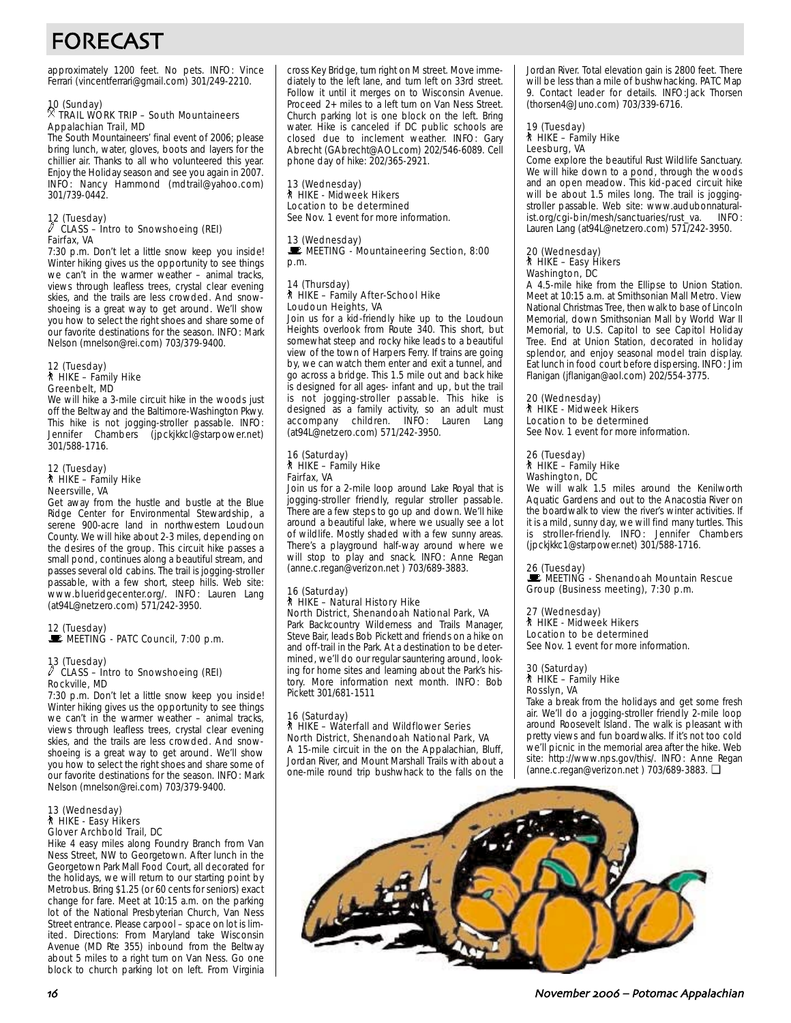# FORECAST

approximately 1200 feet. No pets. INFO: Vince Ferrari (vincentferrari@gmail.com) 301/249-2210.

## 10 (Sunday) . TRAIL WORK TRIP – South Mountaineers Appalachian Trail, MD

The South Mountaineers' final event of 2006; please bring lunch, water, gloves, boots and layers for the chillier air. Thanks to all who volunteered this year. Enjoy the Holiday season and see you again in 2007. INFO: Nancy Hammond (mdtrail@yahoo.com) 301/739-0442.

## 12 (Tuesday) a CLASS – Intro to Snowshoeing (REI) Fairfax, VA

7:30 p.m. Don't let a little snow keep you inside! Winter hiking gives us the opportunity to see things we can't in the warmer weather – animal tracks, views through leafless trees, crystal clear evening skies, and the trails are less crowded. And snowshoeing is a great way to get around. We'll show you how to select the right shoes and share some of our favorite destinations for the season. INFO: Mark Nelson (mnelson@rei.com) 703/379-9400.

#### 12 (Tuesday) ` HIKE – Family Hike Greenbelt, MD

We will hike a 3-mile circuit hike in the woods just off the Beltway and the Baltimore-Washington Pkwy. This hike is not jogging-stroller passable. INFO: Jennifer Chambers (jpckjkkcl@starpower.net) 301/588-1716.

#### 12 (Tuesday) ` HIKE – Family Hike Neersville, VA

Get away from the hustle and bustle at the Blue Ridge Center for Environmental Stewardship, a serene 900-acre land in northwestern Loudoun County. We will hike about 2-3 miles, depending on the desires of the group. This circuit hike passes a small pond, continues along a beautiful stream, and passes several old cabins. The trail is jogging-stroller passable, with a few short, steep hills. Web site: www.blueridgecenter.org/. INFO: Lauren Lang (at94L@netzero.com) 571/242-3950.

12 (Tuesday)  $\mathbb{E}$  MEETING - PATC Council, 7:00 p.m.

## 13 (Tuesday) a CLASS – Intro to Snowshoeing (REI) Rockville, MD

7:30 p.m. Don't let a little snow keep you inside! Winter hiking gives us the opportunity to see things we can't in the warmer weather – animal tracks, views through leafless trees, crystal clear evening skies, and the trails are less crowded. And snowshoeing is a great way to get around. We'll show you how to select the right shoes and share some of our favorite destinations for the season. INFO: Mark Nelson (mnelson@rei.com) 703/379-9400.

#### 13 (Wednesday) ` HIKE - Easy Hikers Glover Archbold Trail, DC

Hike 4 easy miles along Foundry Branch from Van Ness Street, NW to Georgetown. After lunch in the Georgetown Park Mall Food Court, all decorated for the holidays, we will return to our starting point by Metrobus. Bring \$1.25 (or 60 cents for seniors) exact change for fare. Meet at 10:15 a.m. on the parking lot of the National Presbyterian Church, Van Ness Street entrance. Please carpool – space on lot is limited. Directions: From Maryland take Wisconsin Avenue (MD Rte 355) inbound from the Beltway about 5 miles to a right turn on Van Ness. Go one block to church parking lot on left. From Virginia cross Key Bridge, turn right on M street. Move immediately to the left lane, and turn left on 33rd street. Follow it until it merges on to Wisconsin Avenue. Proceed 2+ miles to a left turn on Van Ness Street. Church parking lot is one block on the left. Bring water. Hike is canceled if DC public schools are closed due to inclement weather. INFO: Gary Abrecht (GAbrecht@AOL.com) 202/546-6089. Cell phone day of hike: 202/365-2921.

13 (Wednesday) ` HIKE - Midweek Hikers Location to be determined See Nov. 1 event for more information.

13 (Wednesday)<br><u>Section</u>, B. 2001, Mountaineering Section, 8:00 p.m.

#### 14 (Thursday) ` HIKE – Family After-School Hike Loudoun Heights, VA

Join us for a kid-friendly hike up to the Loudoun Heights overlook from Route 340. This short, but somewhat steep and rocky hike leads to a beautiful view of the town of Harpers Ferry. If trains are going by, we can watch them enter and exit a tunnel, and go across a bridge. This 1.5 mile out and back hike is designed for all ages- infant and up, but the trail is not jogging-stroller passable. This hike is designed as a family activity, so an adult must accompany children. INFO: Lauren Lang (at94L@netzero.com) 571/242-3950.

#### 16 (Saturday) ` HIKE – Family Hike Fairfax, VA

Join us for a 2-mile loop around Lake Royal that is jogging-stroller friendly, regular stroller passable. There are a few steps to go up and down. We'll hike around a beautiful lake, where we usually see a lot of wildlife. Mostly shaded with a few sunny areas. There's a playground half-way around where we will stop to play and snack. INFO: Anne Regan (anne.c.regan@verizon.net ) 703/689-3883.

#### 16 (Saturday) ` HIKE – Natural History Hike North District, Shenandoah National Park, VA

Park Backcountry Wilderness and Trails Manager, Steve Bair, leads Bob Pickett and friends on a hike on and off-trail in the Park. At a destination to be determined, we'll do our regular sauntering around, looking for home sites and learning about the Park's history. More information next month. INFO: Bob Pickett 301/681-1511

#### 16 (Saturday) ` HIKE – Waterfall and Wildflower Series North District, Shenandoah National Park, VA A 15-mile circuit in the on the Appalachian, Bluff,

Jordan River, and Mount Marshall Trails with about a one-mile round trip bushwhack to the falls on the Jordan River. Total elevation gain is 2800 feet. There will be less than a mile of bushwhacking. PATC Map 9. Contact leader for details. INFO:Jack Thorsen (thorsen4@Juno.com) 703/339-6716.

#### 19 (Tuesday) ` HIKE – Family Hike Leesburg, VA

Come explore the beautiful Rust Wildlife Sanctuary. We will hike down to a pond, through the woods and an open meadow. This kid-paced circuit hike will be about 1.5 miles long. The trail is joggingstroller passable. Web site: www.audubonnaturalist.org/cgi-bin/mesh/sanctuaries/rust\_va. INFO: Lauren Lang (at94L@netzero.com) 571/242-3950.

#### 20 (Wednesday) ` HIKE – Easy Hikers Washington, DC

A 4.5-mile hike from the Ellipse to Union Station. Meet at 10:15 a.m. at Smithsonian Mall Metro. View National Christmas Tree, then walk to base of Lincoln Memorial, down Smithsonian Mall by World War II Memorial, to U.S. Capitol to see Capitol Holiday Tree. End at Union Station, decorated in holiday splendor, and enjoy seasonal model train display. Eat lunch in food court before dispersing. INFO: Jim Flanigan (jflanigan@aol.com) 202/554-3775.

#### 20 (Wednesday) ` HIKE - Midweek Hikers Location to be determined

See Nov. 1 event for more information.

#### 26 (Tuesday) ` HIKE – Family Hike Washington, DC

We will walk 1.5 miles around the Kenilworth Aquatic Gardens and out to the Anacostia River on the boardwalk to view the river's winter activities. If it is a mild, sunny day, we will find many turtles. This is stroller-friendly. INFO: Jennifer Chambers (jpckjkkc1@starpower.net) 301/588-1716.

### 26 (Tuesday)

**WEETING - Shenandoah Mountain Rescue** Group (Business meeting), 7:30 p.m.

27 (Wednesday) ` HIKE - Midweek Hikers Location to be determined See Nov. 1 event for more information.

30 (Saturday) ` HIKE – Family Hike Rosslyn, VA

Take a break from the holidays and get some fresh air. We'll do a jogging-stroller friendly 2-mile loop around Roosevelt Island. The walk is pleasant with pretty views and fun boardwalks. If it's not too cold we'll picnic in the memorial area after the hike. Web site: http://www.nps.gov/this/. INFO: Anne Regan (anne.c.regan@verizon.net ) 703/689-3883. ❏

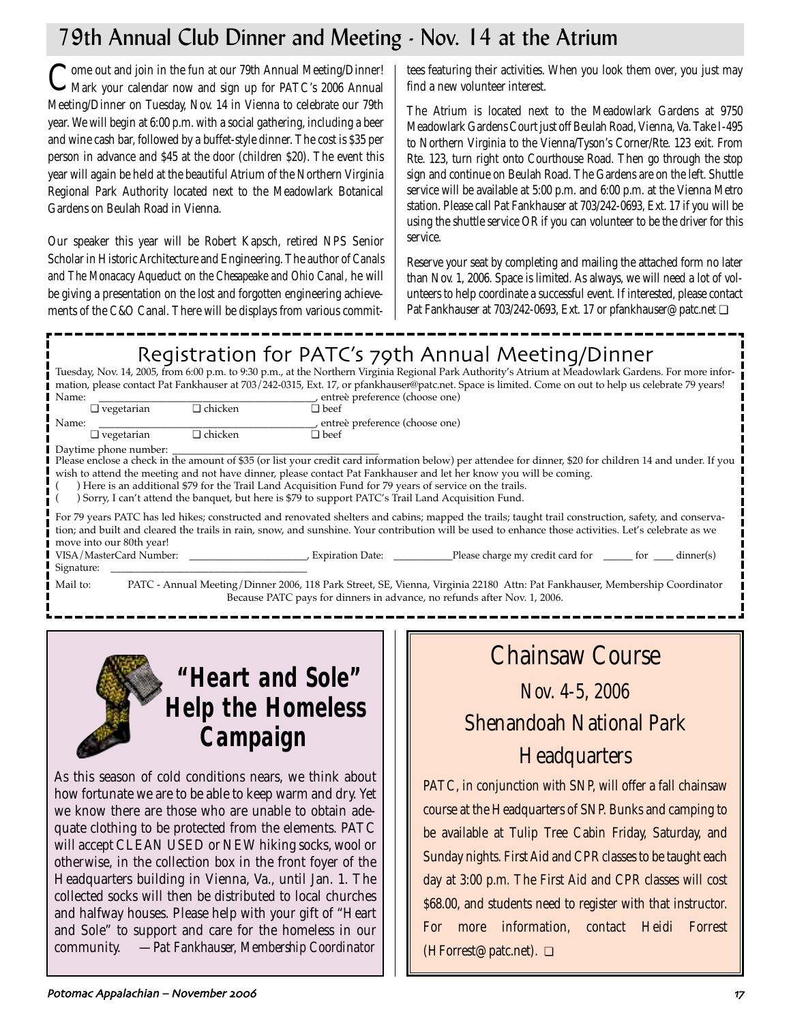## 79th Annual Club Dinner and Meeting - Nov. 14 at the Atrium

Come out and join in the fun at our 79th Annual Meeting/Dinner!<br>Mark your calendar now and sign up for PATC's 2006 Annual Meeting/Dinner on Tuesday, Nov. 14 in Vienna to celebrate our 79th year. We will begin at 6:00 p.m. with a social gathering, including a beer and wine cash bar, followed by a buffet-style dinner. The cost is \$35 per person in advance and \$45 at the door (children \$20). The event this year will again be held at the beautiful Atrium of the Northern Virginia Regional Park Authority located next to the Meadowlark Botanical Gardens on Beulah Road in Vienna.

Our speaker this year will be Robert Kapsch, retired NPS Senior Scholar in Historic Architecture and Engineering. The author of *Canals and The Monacacy Aqueduct on the Chesapeake and Ohio Canal,* he will be giving a presentation on the lost and forgotten engineering achievements of the C&O Canal. There will be displays from various committees featuring their activities. When you look them over, you just may find a new volunteer interest.

The Atrium is located next to the Meadowlark Gardens at 9750 Meadowlark Gardens Court just off Beulah Road, Vienna, Va. Take I-495 to Northern Virginia to the Vienna/Tyson's Corner/Rte. 123 exit. From Rte. 123, turn right onto Courthouse Road. Then go through the stop sign and continue on Beulah Road. The Gardens are on the left. Shuttle service will be available at 5:00 p.m. and 6:00 p.m. at the Vienna Metro station. Please call Pat Fankhauser at 703/242-0693, Ext. 17 if you will be using the shuttle service OR if you can volunteer to be the driver for this service.

Reserve your seat by completing and mailing the attached form no later than Nov. 1, 2006. Space is limited. As always, we will need a lot of volunteers to help coordinate a successful event. If interested, please contact Pat Fankhauser at 703/242-0693, Ext. 17 or pfankhauser@patc.net ❏

## Registration for PATC's 79th Annual Meeting/Dinner

| Tuesday, Nov. 14, 2005, from 6:00 p.m. to 9:30 p.m., at the Northern Virginia Regional Park Authority's Atrium at Meadowlark Gardens. For more infor- |                |                                                                                                       |                                                                                                                                                           |  |
|-------------------------------------------------------------------------------------------------------------------------------------------------------|----------------|-------------------------------------------------------------------------------------------------------|-----------------------------------------------------------------------------------------------------------------------------------------------------------|--|
| mation, please contact Pat Fankhauser at 703/242-0315, Ext. 17, or pfankhauser@patc.net. Space is limited. Come on out to help us celebrate 79 years! |                |                                                                                                       |                                                                                                                                                           |  |
| Name:                                                                                                                                                 |                | , entreè preference (choose one)                                                                      |                                                                                                                                                           |  |
| $\Box$ vegetarian                                                                                                                                     | $\Box$ chicken | $\Box$ beef                                                                                           |                                                                                                                                                           |  |
| Name:                                                                                                                                                 |                | , entreè preference (choose one)                                                                      |                                                                                                                                                           |  |
| $\Box$ vegetarian                                                                                                                                     | $\Box$ chicken | $\Box$ beef                                                                                           |                                                                                                                                                           |  |
| Daytime phone number:                                                                                                                                 |                |                                                                                                       |                                                                                                                                                           |  |
|                                                                                                                                                       |                |                                                                                                       | Please enclose a check in the amount of \$35 (or list your credit card information below) per attendee for dinner, \$20 for children 14 and under. If you |  |
|                                                                                                                                                       |                |                                                                                                       | wish to attend the meeting and not have dinner, please contact Pat Fankhauser and let her know you will be coming.                                        |  |
|                                                                                                                                                       |                | Here is an additional \$79 for the Trail Land Acquisition Fund for 79 years of service on the trails. |                                                                                                                                                           |  |
| Sorry, I can't attend the banquet, but here is \$79 to support PATC's Trail Land Acquisition Fund.                                                    |                |                                                                                                       |                                                                                                                                                           |  |
| For 79 years PATC has led hikes; constructed and renovated shelters and cabins; mapped the trails; taught trail construction, safety, and conserva-   |                |                                                                                                       |                                                                                                                                                           |  |
| tion; and built and cleared the trails in rain, snow, and sunshine. Your contribution will be used to enhance those activities. Let's celebrate as we |                |                                                                                                       |                                                                                                                                                           |  |
| move into our 80th year!                                                                                                                              |                |                                                                                                       |                                                                                                                                                           |  |
| VISA/MasterCard Number:                                                                                                                               |                |                                                                                                       |                                                                                                                                                           |  |
| Signature:                                                                                                                                            |                |                                                                                                       |                                                                                                                                                           |  |
|                                                                                                                                                       |                |                                                                                                       |                                                                                                                                                           |  |
| Mail to:<br>PATC - Annual Meeting/Dinner 2006, 118 Park Street, SE, Vienna, Virginia 22180 Attn: Pat Fankhauser, Membership Coordinator               |                |                                                                                                       |                                                                                                                                                           |  |
| Because PATC pays for dinners in advance, no refunds after Nov. 1, 2006.                                                                              |                |                                                                                                       |                                                                                                                                                           |  |



As this season of cold conditions nears, we think about how fortunate we are to be able to keep warm and dry. Yet we know there are those who are unable to obtain adequate clothing to be protected from the elements. PATC will accept CLEAN USED or NEW hiking socks, wool or otherwise, in the collection box in the front foyer of the Headquarters building in Vienna, Va., until Jan. 1. The collected socks will then be distributed to local churches and halfway houses. Please help with your gift of "Heart and Sole" to support and care for the homeless in our community. —*Pat Fankhauser, Membership Coordinator*

# Chainsaw Course

# *Nov. 4-5, 2006* Shenandoah National Park

## **Headquarters**

PATC, in conjunction with SNP, will offer a fall chainsaw course at the Headquarters of SNP. Bunks and camping to be available at Tulip Tree Cabin Friday, Saturday, and Sunday nights. First Aid and CPR classes to be taught each day at 3:00 p.m. The First Aid and CPR classes will cost \$68.00, and students need to register with that instructor. For more information, contact Heidi Forrest (HForrest@patc.net). ❏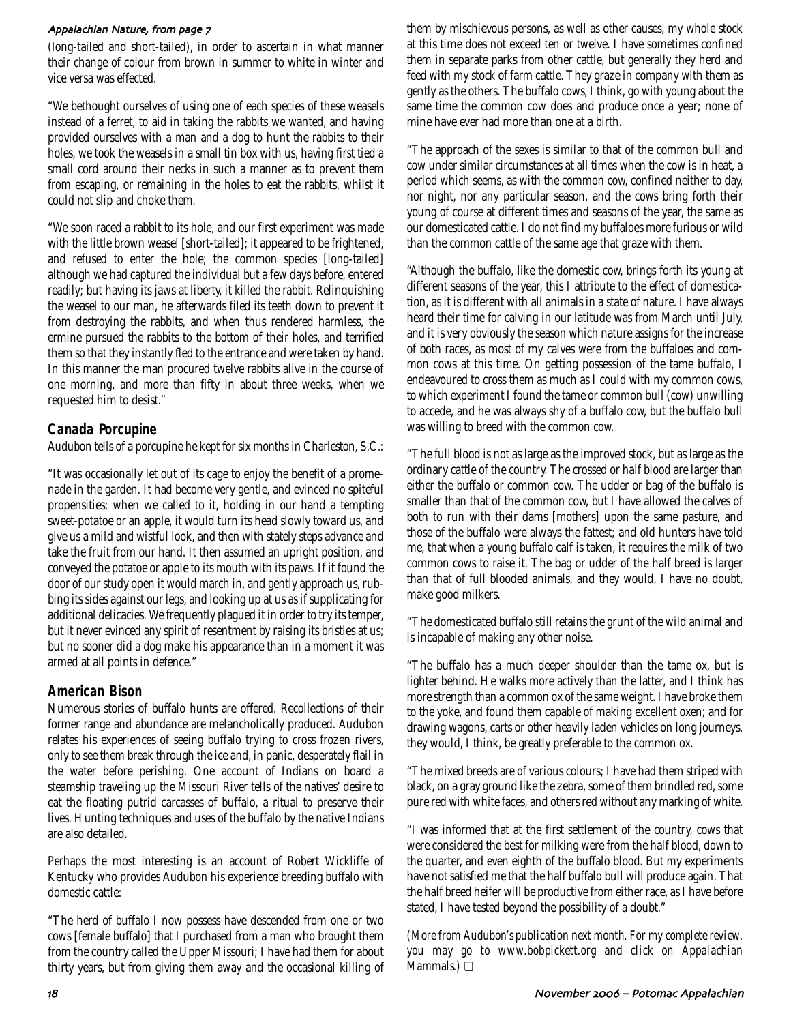### Appalachian Nature from page 5

(long-tailed and short-tailed), in order to ascertain in what manner their change of colour from brown in summer to white in winter and vice versa was effected.

"We bethought ourselves of using one of each species of these weasels instead of a ferret, to aid in taking the rabbits we wanted, and having provided ourselves with a man and a dog to hunt the rabbits to their holes, we took the weasels in a small tin box with us, having first tied a small cord around their necks in such a manner as to prevent them from escaping, or remaining in the holes to eat the rabbits, whilst it could not slip and choke them.

"We soon raced a rabbit to its hole, and our first experiment was made with the little brown weasel [short-tailed]; it appeared to be frightened, and refused to enter the hole; the common species [long-tailed] although we had captured the individual but a few days before, entered readily; but having its jaws at liberty, it killed the rabbit. Relinquishing the weasel to our man, he afterwards filed its teeth down to prevent it from destroying the rabbits, and when thus rendered harmless, the ermine pursued the rabbits to the bottom of their holes, and terrified them so that they instantly fled to the entrance and were taken by hand. In this manner the man procured twelve rabbits alive in the course of one morning, and more than fifty in about three weeks, when we requested him to desist."

## **Canada Porcupine**

Audubon tells of a porcupine he kept for six months in Charleston, S.C.:

"It was occasionally let out of its cage to enjoy the benefit of a promenade in the garden. It had become very gentle, and evinced no spiteful propensities; when we called to it, holding in our hand a tempting sweet-potatoe or an apple, it would turn its head slowly toward us, and give us a mild and wistful look, and then with stately steps advance and take the fruit from our hand. It then assumed an upright position, and conveyed the potatoe or apple to its mouth with its paws. If it found the door of our study open it would march in, and gently approach us, rubbing its sides against our legs, and looking up at us as if supplicating for additional delicacies. We frequently plagued it in order to try its temper, but it never evinced any spirit of resentment by raising its bristles at us; but no sooner did a dog make his appearance than in a moment it was armed at all points in defence."

## **American Bison**

Numerous stories of buffalo hunts are offered. Recollections of their former range and abundance are melancholically produced. Audubon relates his experiences of seeing buffalo trying to cross frozen rivers, only to see them break through the ice and, in panic, desperately flail in the water before perishing. One account of Indians on board a steamship traveling up the Missouri River tells of the natives' desire to eat the floating putrid carcasses of buffalo, a ritual to preserve their lives. Hunting techniques and uses of the buffalo by the native Indians are also detailed.

Perhaps the most interesting is an account of Robert Wickliffe of Kentucky who provides Audubon his experience breeding buffalo with domestic cattle:

"The herd of buffalo I now possess have descended from one or two cows [female buffalo] that I purchased from a man who brought them from the country called the Upper Missouri; I have had them for about thirty years, but from giving them away and the occasional killing of them by mischievous persons, as well as other causes, my whole stock at this time does not exceed ten or twelve. I have sometimes confined them in separate parks from other cattle, but generally they herd and feed with my stock of farm cattle. They graze in company with them as gently as the others. The buffalo cows, I think, go with young about the same time the common cow does and produce once a year; none of mine have ever had more than one at a birth.

"The approach of the sexes is similar to that of the common bull and cow under similar circumstances at all times when the cow is in heat, a period which seems, as with the common cow, confined neither to day, nor night, nor any particular season, and the cows bring forth their young of course at different times and seasons of the year, the same as our domesticated cattle. I do not find my buffaloes more furious or wild than the common cattle of the same age that graze with them.

"Although the buffalo, like the domestic cow, brings forth its young at different seasons of the year, this I attribute to the effect of domestication, as it is different with all animals in a state of nature. I have always heard their time for calving in our latitude was from March until July, and it is very obviously the season which nature assigns for the increase of both races, as most of my calves were from the buffaloes and common cows at this time. On getting possession of the tame buffalo, I endeavoured to cross them as much as I could with my common cows, to which experiment I found the tame or common bull (cow) unwilling to accede, and he was always shy of a buffalo cow, but the buffalo bull was willing to breed with the common cow.

"The full blood is not as large as the improved stock, but as large as the ordinary cattle of the country. The crossed or half blood are larger than either the buffalo or common cow. The udder or bag of the buffalo is smaller than that of the common cow, but I have allowed the calves of both to run with their dams [mothers] upon the same pasture, and those of the buffalo were always the fattest; and old hunters have told me, that when a young buffalo calf is taken, it requires the milk of two common cows to raise it. The bag or udder of the half breed is larger than that of full blooded animals, and they would, I have no doubt, make good milkers.

"The domesticated buffalo still retains the grunt of the wild animal and is incapable of making any other noise.

"The buffalo has a much deeper shoulder than the tame ox, but is lighter behind. He walks more actively than the latter, and I think has more strength than a common ox of the same weight. I have broke them to the yoke, and found them capable of making excellent oxen; and for drawing wagons, carts or other heavily laden vehicles on long journeys, they would, I think, be greatly preferable to the common ox.

"The mixed breeds are of various colours; I have had them striped with black, on a gray ground like the zebra, some of them brindled red, some pure red with white faces, and others red without any marking of white.

"I was informed that at the first settlement of the country, cows that were considered the best for milking were from the half blood, down to the quarter, and even eighth of the buffalo blood. But my experiments have not satisfied me that the half buffalo bull will produce again. That the half breed heifer will be productive from either race, as I have before stated, I have tested beyond the possibility of a doubt."

*(More from Audubon's publication next month. For my complete review, you may go to www.bobpickett.org and click on Appalachian Mammals.)* ❏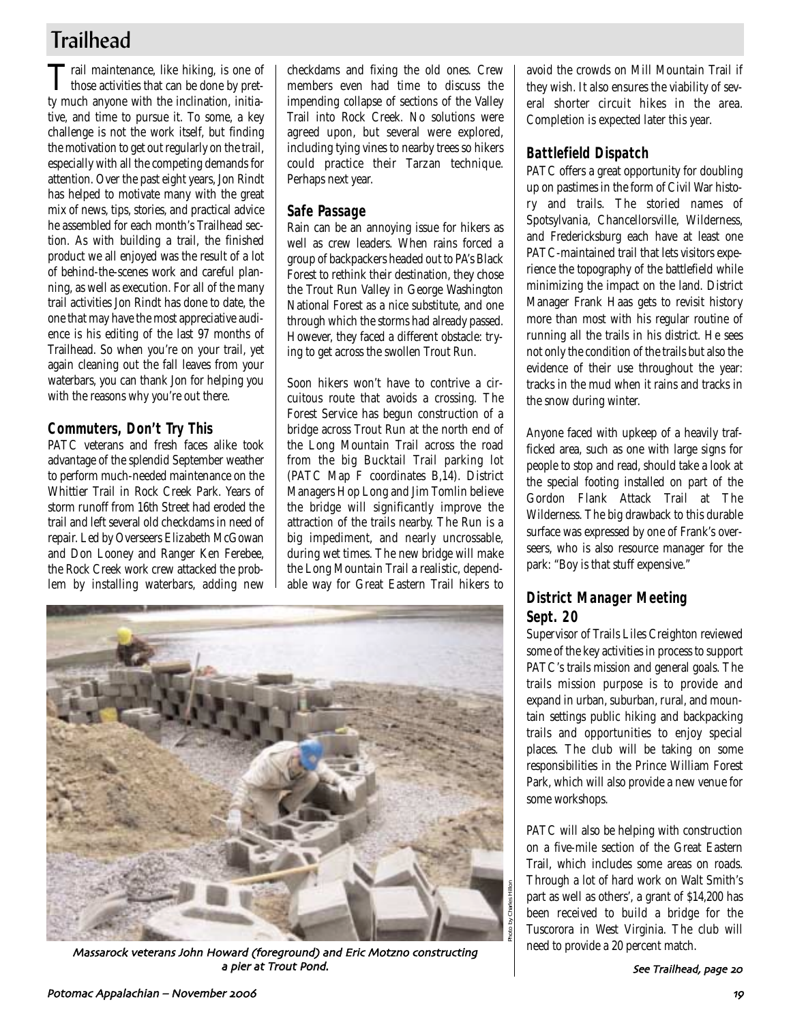## **Trailhead**

Trail maintenance, like hiking, is one of those activities that can be done by pretty much anyone with the inclination, initiative, and time to pursue it. To some, a key challenge is not the work itself, but finding the motivation to get out regularly on the trail, especially with all the competing demands for attention. Over the past eight years, Jon Rindt has helped to motivate many with the great mix of news, tips, stories, and practical advice he assembled for each month's Trailhead section. As with building a trail, the finished product we all enjoyed was the result of a lot of behind-the-scenes work and careful planning, as well as execution. For all of the many trail activities Jon Rindt has done to date, the one that may have the most appreciative audience is his editing of the last 97 months of Trailhead. So when you're on your trail, yet again cleaning out the fall leaves from your waterbars, you can thank Jon for helping you with the reasons why you're out there.

## **Commuters, Don't Try This**

PATC veterans and fresh faces alike took advantage of the splendid September weather to perform much-needed maintenance on the Whittier Trail in Rock Creek Park. Years of storm runoff from 16th Street had eroded the trail and left several old checkdams in need of repair. Led by Overseers Elizabeth McGowan and Don Looney and Ranger Ken Ferebee, the Rock Creek work crew attacked the problem by installing waterbars, adding new checkdams and fixing the old ones. Crew members even had time to discuss the impending collapse of sections of the Valley Trail into Rock Creek. No solutions were agreed upon, but several were explored, including tying vines to nearby trees so hikers could practice their Tarzan technique. Perhaps next year.

## **Safe Passage**

Rain can be an annoying issue for hikers as well as crew leaders. When rains forced a group of backpackers headed out to PA's Black Forest to rethink their destination, they chose the Trout Run Valley in George Washington National Forest as a nice substitute, and one through which the storms had already passed. However, they faced a different obstacle: trying to get across the swollen Trout Run.

Soon hikers won't have to contrive a circuitous route that avoids a crossing. The Forest Service has begun construction of a bridge across Trout Run at the north end of the Long Mountain Trail across the road from the big Bucktail Trail parking lot (PATC Map F coordinates B,14). District Managers Hop Long and Jim Tomlin believe the bridge will significantly improve the attraction of the trails nearby. The Run is a big impediment, and nearly uncrossable, during wet times. The new bridge will make the Long Mountain Trail a realistic, dependable way for Great Eastern Trail hikers to



Massarock veterans John Howard (foreground) and Eric Motzno constructing  $\mathbb{R}$  need to provide a 20 percent match. a pier at Trout Pond

avoid the crowds on Mill Mountain Trail if they wish. It also ensures the viability of several shorter circuit hikes in the area. Completion is expected later this year.

## **Battlefield Dispatch**

PATC offers a great opportunity for doubling up on pastimes in the form of Civil War history and trails. The storied names of Spotsylvania, Chancellorsville, Wilderness, and Fredericksburg each have at least one PATC-maintained trail that lets visitors experience the topography of the battlefield while minimizing the impact on the land. District Manager Frank Haas gets to revisit history more than most with his regular routine of running all the trails in his district. He sees not only the condition of the trails but also the evidence of their use throughout the year: tracks in the mud when it rains and tracks in the snow during winter.

Anyone faced with upkeep of a heavily trafficked area, such as one with large signs for people to stop and read, should take a look at the special footing installed on part of the Gordon Flank Attack Trail at The Wilderness. The big drawback to this durable surface was expressed by one of Frank's overseers, who is also resource manager for the park: "Boy is that stuff expensive."

## **District Manager Meeting Sept. 20**

Supervisor of Trails Liles Creighton reviewed some of the key activities in process to support PATC's trails mission and general goals. The trails mission purpose is to provide and expand in urban, suburban, rural, and mountain settings public hiking and backpacking trails and opportunities to enjoy special places. The club will be taking on some responsibilities in the Prince William Forest Park, which will also provide a new venue for some workshops.

PATC will also be helping with construction on a five-mile section of the Great Eastern Trail, which includes some areas on roads. Through a lot of hard work on Walt Smith's part as well as others', a grant of \$14,200 has been received to build a bridge for the Tuscorora in West Virginia. The club will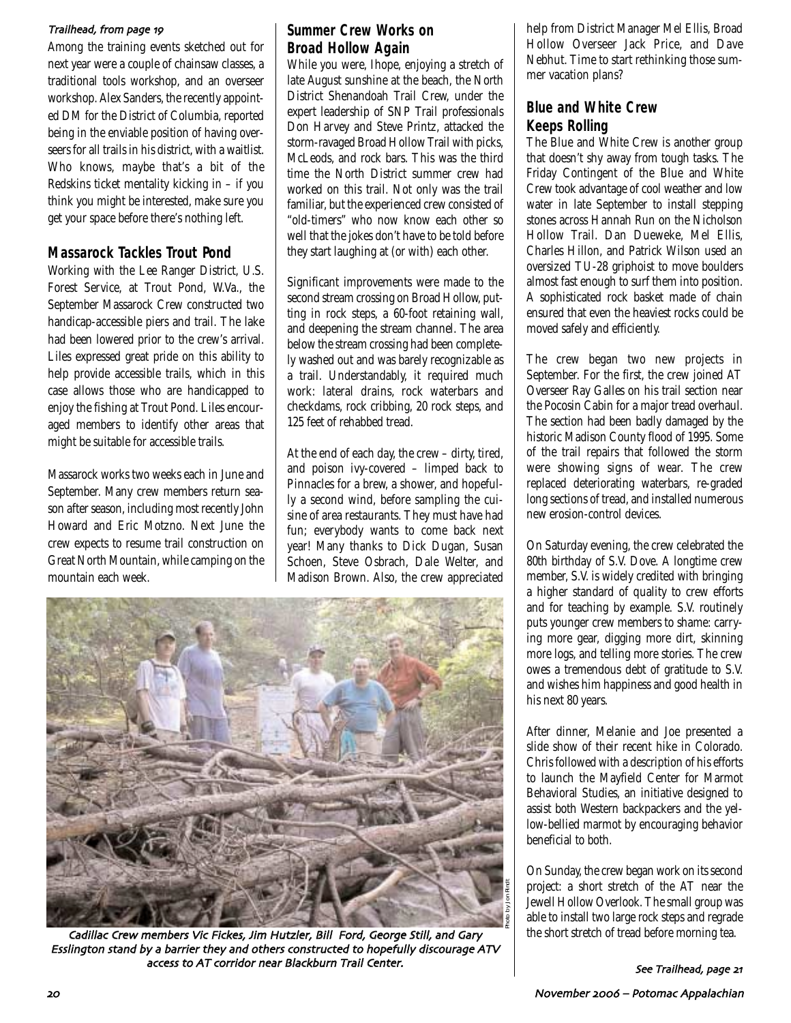### Trailhead, from page 19

Among the training events sketched out for next year were a couple of chainsaw classes, a traditional tools workshop, and an overseer workshop. Alex Sanders, the recently appointed DM for the District of Columbia, reported being in the enviable position of having overseers for all trails in his district, with a waitlist. Who knows, maybe that's a bit of the Redskins ticket mentality kicking in – if you think you might be interested, make sure you get your space before there's nothing left.

## **Massarock Tackles Trout Pond**

Working with the Lee Ranger District, U.S. Forest Service, at Trout Pond, W.Va., the September Massarock Crew constructed two handicap-accessible piers and trail. The lake had been lowered prior to the crew's arrival. Liles expressed great pride on this ability to help provide accessible trails, which in this case allows those who are handicapped to enjoy the fishing at Trout Pond. Liles encouraged members to identify other areas that might be suitable for accessible trails.

Massarock works two weeks each in June and September. Many crew members return season after season, including most recently John Howard and Eric Motzno. Next June the crew expects to resume trail construction on Great North Mountain, while camping on the mountain each week.

## **Summer Crew Works on Broad Hollow Again**

While you were, Ihope, enjoying a stretch of late August sunshine at the beach, the North District Shenandoah Trail Crew, under the expert leadership of SNP Trail professionals Don Harvey and Steve Printz, attacked the storm-ravaged Broad Hollow Trail with picks, McLeods, and rock bars. This was the third time the North District summer crew had worked on this trail. Not only was the trail familiar, but the experienced crew consisted of "old-timers" who now know each other so well that the jokes don't have to be told before they start laughing at (or with) each other.

Significant improvements were made to the second stream crossing on Broad Hollow, putting in rock steps, a 60-foot retaining wall, and deepening the stream channel. The area below the stream crossing had been completely washed out and was barely recognizable as a trail. Understandably, it required much work: lateral drains, rock waterbars and checkdams, rock cribbing, 20 rock steps, and 125 feet of rehabbed tread.

At the end of each day, the crew – dirty, tired, and poison ivy-covered – limped back to Pinnacles for a brew, a shower, and hopefully a second wind, before sampling the cuisine of area restaurants. They must have had fun; everybody wants to come back next year! Many thanks to Dick Dugan, Susan Schoen, Steve Osbrach, Dale Welter, and Madison Brown. Also, the crew appreciated



Cadillac Crew members Vic Fickes Jim Hutzler Bill Ford George Still and Gary Esslington stand by a barrier they and others constructed to hopefully discourage ATV access to AT corridor near Blackburn Trail Center

help from District Manager Mel Ellis, Broad Hollow Overseer Jack Price, and Dave Nebhut. Time to start rethinking those summer vacation plans?

## **Blue and White Crew Keeps Rolling**

The Blue and White Crew is another group that doesn't shy away from tough tasks. The Friday Contingent of the Blue and White Crew took advantage of cool weather and low water in late September to install stepping stones across Hannah Run on the Nicholson Hollow Trail. Dan Dueweke, Mel Ellis, Charles Hillon, and Patrick Wilson used an oversized TU-28 griphoist to move boulders almost fast enough to surf them into position. A sophisticated rock basket made of chain ensured that even the heaviest rocks could be moved safely and efficiently.

The crew began two new projects in September. For the first, the crew joined AT Overseer Ray Galles on his trail section near the Pocosin Cabin for a major tread overhaul. The section had been badly damaged by the historic Madison County flood of 1995. Some of the trail repairs that followed the storm were showing signs of wear. The crew replaced deteriorating waterbars, re-graded long sections of tread, and installed numerous new erosion-control devices.

On Saturday evening, the crew celebrated the 80th birthday of S.V. Dove. A longtime crew member, S.V. is widely credited with bringing a higher standard of quality to crew efforts and for teaching by example. S.V. routinely puts younger crew members to shame: carrying more gear, digging more dirt, skinning more logs, and telling more stories. The crew owes a tremendous debt of gratitude to S.V. and wishes him happiness and good health in his next 80 years.

After dinner, Melanie and Joe presented a slide show of their recent hike in Colorado. Chris followed with a description of his efforts to launch the Mayfield Center for Marmot Behavioral Studies, an initiative designed to assist both Western backpackers and the yellow-bellied marmot by encouraging behavior beneficial to both.

On Sunday, the crew began work on its second project: a short stretch of the AT near the Jewell Hollow Overlook. The small group was able to install two large rock steps and regrade the short stretch of tread before morning tea.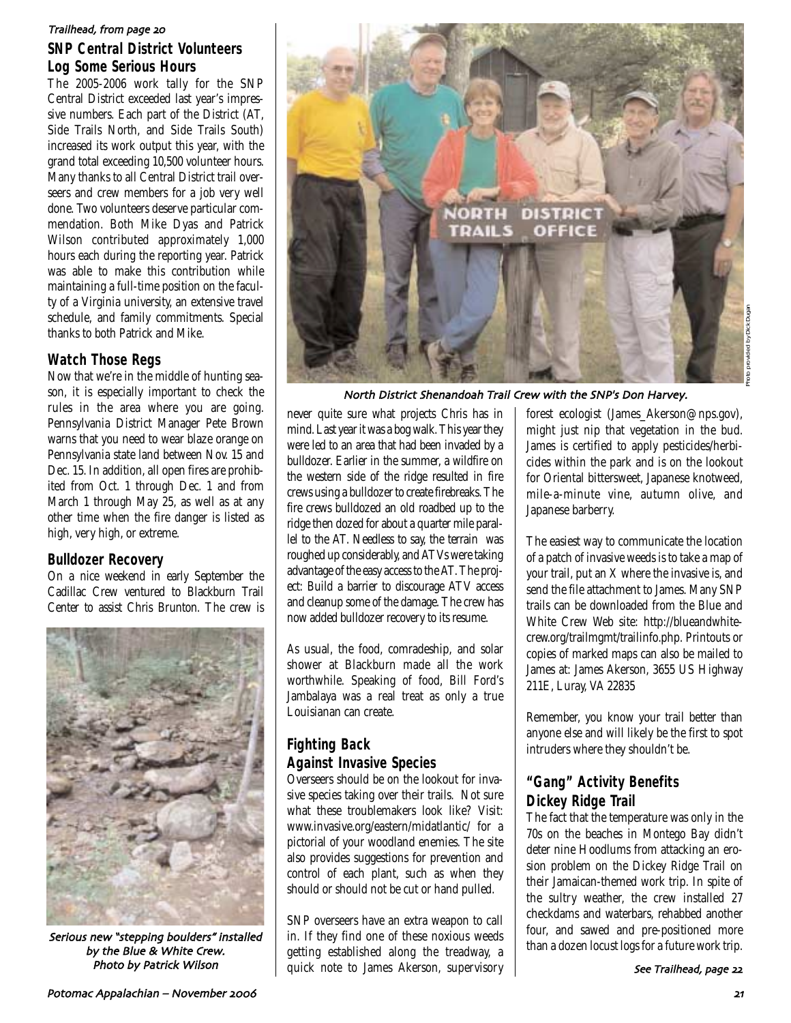#### Trailhead from page

## **SNP Central District Volunteers Log Some Serious Hours**

The 2005-2006 work tally for the SNP Central District exceeded last year's impressive numbers. Each part of the District (AT, Side Trails North, and Side Trails South) increased its work output this year, with the grand total exceeding 10,500 volunteer hours. Many thanks to all Central District trail overseers and crew members for a job very well done. Two volunteers deserve particular commendation. Both Mike Dyas and Patrick Wilson contributed approximately 1,000 hours each during the reporting year. Patrick was able to make this contribution while maintaining a full-time position on the faculty of a Virginia university, an extensive travel schedule, and family commitments. Special thanks to both Patrick and Mike.

## **Watch Those Regs**

Now that we're in the middle of hunting season, it is especially important to check the rules in the area where you are going. Pennsylvania District Manager Pete Brown warns that you need to wear blaze orange on Pennsylvania state land between Nov. 15 and Dec. 15. In addition, all open fires are prohibited from Oct. 1 through Dec. 1 and from March 1 through May 25, as well as at any other time when the fire danger is listed as high, very high, or extreme.

## **Bulldozer Recovery**

On a nice weekend in early September the Cadillac Crew ventured to Blackburn Trail Center to assist Chris Brunton. The crew is



Serious new "stepping boulders" installed by the Blue & White Crew.



North District Shenandoah Trail Crew with the SNP's Don Harvey

never quite sure what projects Chris has in mind. Last year it was a bog walk. This year they were led to an area that had been invaded by a bulldozer. Earlier in the summer, a wildfire on the western side of the ridge resulted in fire crews using a bulldozer to create firebreaks. The fire crews bulldozed an old roadbed up to the ridge then dozed for about a quarter mile parallel to the AT. Needless to say, the terrain was roughed up considerably, and ATVs were taking advantage of the easy access to the AT. The project: Build a barrier to discourage ATV access and cleanup some of the damage. The crew has now added bulldozer recovery to its resume.

As usual, the food, comradeship, and solar shower at Blackburn made all the work worthwhile. Speaking of food, Bill Ford's Jambalaya was a real treat as only a true Louisianan can create.

## **Fighting Back Against Invasive Species**

Overseers should be on the lookout for invasive species taking over their trails. Not sure what these troublemakers look like? Visit: www.invasive.org/eastern/midatlantic/ for a pictorial of your woodland enemies. The site also provides suggestions for prevention and control of each plant, such as when they should or should not be cut or hand pulled.

SNP overseers have an extra weapon to call in. If they find one of these noxious weeds getting established along the treadway, a Photo by Patrick Wilson Theory of the quick note to James Akerson, supervisory supervisory see Trailhead,

forest ecologist (James Akerson@nps.gov), might just nip that vegetation in the bud. James is certified to apply pesticides/herbicides within the park and is on the lookout for Oriental bittersweet, Japanese knotweed, mile-a-minute vine, autumn olive, and Japanese barberry.

The easiest way to communicate the location of a patch of invasive weeds is to take a map of your trail, put an X where the invasive is, and send the file attachment to James. Many SNP trails can be downloaded from the Blue and White Crew Web site: http://blueandwhitecrew.org/trailmgmt/trailinfo.php. Printouts or copies of marked maps can also be mailed to James at: James Akerson, 3655 US Highway 211E, Luray, VA 22835

Remember, you know your trail better than anyone else and will likely be the first to spot intruders where they shouldn't be.

## **"Gang" Activity Benefits Dickey Ridge Trail**

The fact that the temperature was only in the 70s on the beaches in Montego Bay didn't deter nine Hoodlums from attacking an erosion problem on the Dickey Ridge Trail on their Jamaican-themed work trip. In spite of the sultry weather, the crew installed 27 checkdams and waterbars, rehabbed another four, and sawed and pre-positioned more than a dozen locust logs for a future work trip.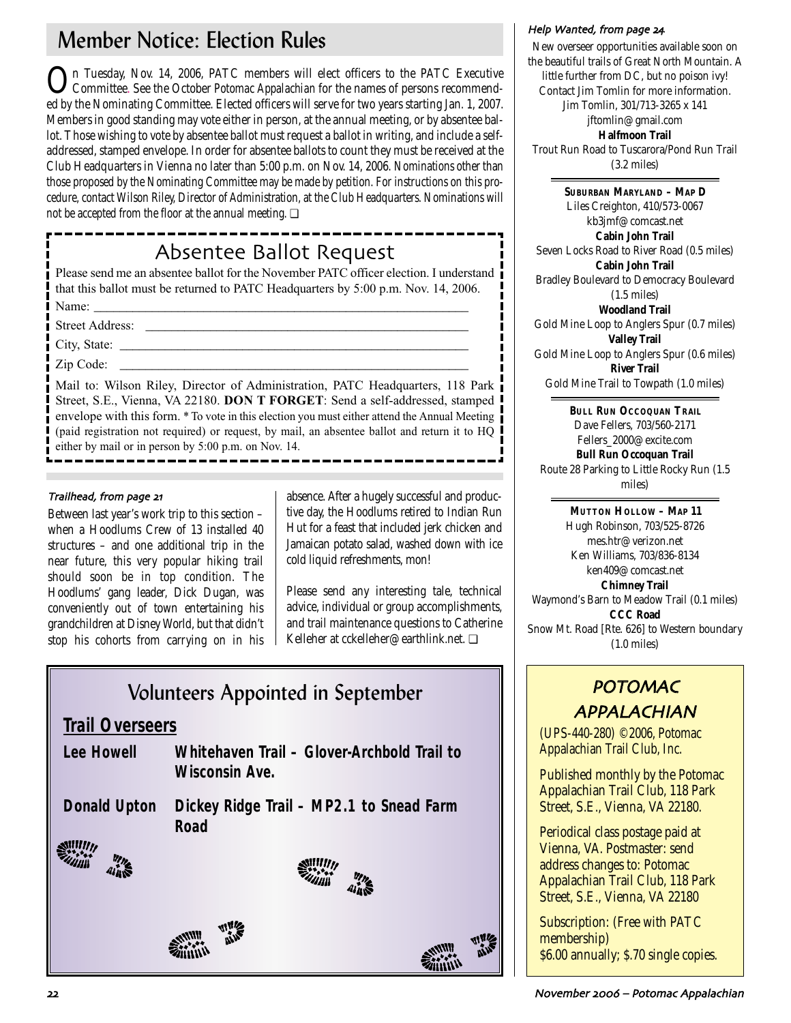## Member Notice: Election Rules

On Tuesday, Nov. 14, 2006, PATC members will elect officers to the PATC Executive Committee. See the October *Potomac Appalachian* for the names of persons recommended by the Nominating Committee. Elected officers will serve for two years starting Jan. 1, 2007. Members in good standing may vote either in person, at the annual meeting, or by absentee ballot. Those wishing to vote by absentee ballot must request a ballot in writing, and include a selfaddressed, stamped envelope. In order for absentee ballots to count they must be received at the Club Headquarters in Vienna no later than 5:00 p.m. on Nov. 14, 2006. Nominations other than those proposed by the Nominating Committee may be made by petition. For instructions on this procedure, contact Wilson Riley, Director of Administration, at the Club Headquarters. Nominations will not be accepted from the floor at the annual meeting. ❏

## Absentee Ballot Request

Please send me an absentee ballot for the November PATC officer election. I understand that this ballot must be returned to PATC Headquarters by 5:00 p.m. Nov. 14, 2006. Name: \_\_\_\_\_\_\_\_\_\_\_\_\_\_\_\_\_\_\_\_\_\_\_\_\_\_\_\_\_\_\_\_\_\_\_\_\_\_\_\_\_\_\_\_\_\_\_\_\_\_\_\_\_\_\_\_\_\_

Street Address: \_\_\_\_\_\_\_\_\_\_\_\_\_\_\_\_\_\_\_\_\_\_\_\_\_\_\_\_\_\_\_\_\_\_\_\_\_\_\_\_\_\_\_\_\_\_\_\_\_\_

City, State: \_\_\_\_\_\_\_\_\_\_\_\_\_\_\_\_\_\_\_\_\_\_\_\_\_\_\_\_\_\_\_\_\_\_\_\_\_\_\_\_\_\_\_\_\_\_\_\_\_\_\_\_\_\_

Zip Code:

Mail to: Wilson Riley, Director of Administration, PATC Headquarters, 118 Park Street, S.E., Vienna, VA 22180. **DON T FORGET**: Send a self-addressed, stamped envelope with this form. \* To vote in this election you must either attend the Annual Meeting (paid registration not required) or request, by mail, an absentee ballot and return it to HQ either by mail or in person by 5:00 p.m. on Nov. 14.

## Trailhead, from page 21

Between last year's work trip to this section – when a Hoodlums Crew of 13 installed 40 structures – and one additional trip in the near future, this very popular hiking trail should soon be in top condition. The Hoodlums' gang leader, Dick Dugan, was conveniently out of town entertaining his grandchildren at Disney World, but that didn't stop his cohorts from carrying on in his

absence. After a hugely successful and productive day, the Hoodlums retired to Indian Run Hut for a feast that included jerk chicken and Jamaican potato salad, washed down with ice cold liquid refreshments, mon!

Please send any interesting tale, technical advice, individual or group accomplishments, and trail maintenance questions to Catherine Kelleher at cckelleher@earthlink.net. ❏

| <b>Volunteers Appointed in September</b>                                           |                                                  |  |  |
|------------------------------------------------------------------------------------|--------------------------------------------------|--|--|
| <b>Trail Overseers</b>                                                             |                                                  |  |  |
| Whitehaven Trail - Glover-Archbold Trail to<br>Lee Howell<br><b>Wisconsin Ave.</b> |                                                  |  |  |
| <b>Donald Upton</b>                                                                | Dickey Ridge Trail - MP2.1 to Snead Farm<br>Road |  |  |
|                                                                                    |                                                  |  |  |
|                                                                                    |                                                  |  |  |

### Help Wanted from page

New overseer opportunities available soon on the beautiful trails of Great North Mountain. A little further from DC, but no poison ivy! Contact Jim Tomlin for more information. Jim Tomlin, 301/713-3265 x 141 jftomlin@gmail.com **Halfmoon Trail** Trout Run Road to Tuscarora/Pond Run Trail (3.2 miles)

**SUBURBAN MARYLAND – MAP D** Liles Creighton, 410/573-0067 kb3jmf@comcast.net **Cabin John Trail** Seven Locks Road to River Road (0.5 miles) **Cabin John Trail** Bradley Boulevard to Democracy Boulevard (1.5 miles) **Woodland Trail** Gold Mine Loop to Anglers Spur (0.7 miles) **Valley Trail** Gold Mine Loop to Anglers Spur (0.6 miles) **River Trail** Gold Mine Trail to Towpath (1.0 miles)

**BULL RUN OCCOQUAN TRAIL** Dave Fellers, 703/560-2171 Fellers\_2000@excite.com **Bull Run Occoquan Trail** Route 28 Parking to Little Rocky Run (1.5 miles)

**MUTTON HOLLOW – MAP 11** Hugh Robinson, 703/525-8726 mes.htr@verizon.net Ken Williams, 703/836-8134 ken409@comcast.net **Chimney Trail** Waymond's Barn to Meadow Trail (0.1 miles) **CCC Road** Snow Mt. Road [Rte. 626] to Western boundary (1.0 miles)

## POTOMAC APPALACHIAN

(UPS-440-280) ©2006, Potomac Appalachian Trail Club, Inc.

Published monthly by the Potomac Appalachian Trail Club, 118 Park Street, S.E., Vienna, VA 22180.

Periodical class postage paid at Vienna, VA. Postmaster: send address changes to: Potomac Appalachian Trail Club, 118 Park Street, S.E., Vienna, VA 22180

Subscription: (Free with PATC membership) \$6.00 annually; \$.70 single copies.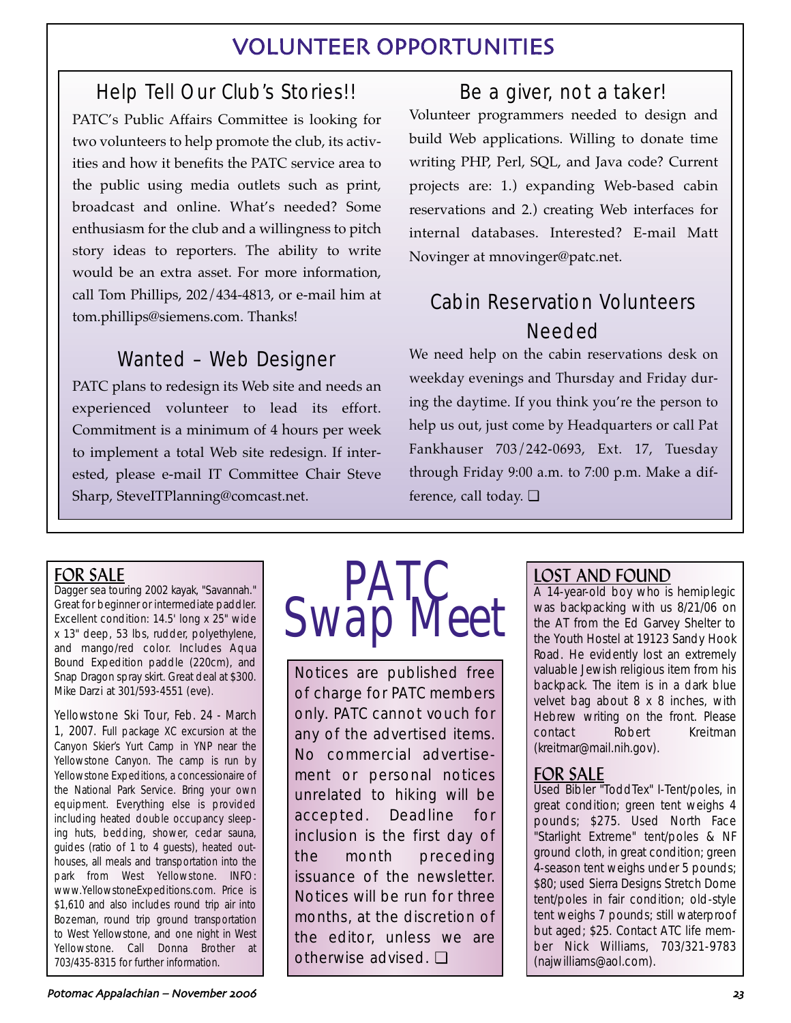## VOLUNTEER OPPORTUNITIES

## Help Tell Our Club's Stories!!

PATC's Public Affairs Committee is looking for two volunteers to help promote the club, its activities and how it benefits the PATC service area to the public using media outlets such as print, broadcast and online. What's needed? Some enthusiasm for the club and a willingness to pitch story ideas to reporters. The ability to write would be an extra asset. For more information, call Tom Phillips, 202/434-4813, or e-mail him at tom.phillips@siemens.com. Thanks!

## Wanted – Web Designer

PATC plans to redesign its Web site and needs an experienced volunteer to lead its effort. Commitment is a minimum of 4 hours per week to implement a total Web site redesign. If interested, please e-mail IT Committee Chair Steve Sharp, SteveITPlanning@comcast.net.

## Be a giver, not a taker!

Volunteer programmers needed to design and build Web applications. Willing to donate time writing PHP, Perl, SQL, and Java code? Current projects are: 1.) expanding Web-based cabin reservations and 2.) creating Web interfaces for internal databases. Interested? E-mail Matt Novinger at mnovinger@patc.net.

## Cabin Reservation Volunteers Needed

We need help on the cabin reservations desk on weekday evenings and Thursday and Friday during the daytime. If you think you're the person to help us out, just come by Headquarters or call Pat Fankhauser 703/242-0693, Ext. 17, Tuesday through Friday 9:00 a.m. to 7:00 p.m. Make a difference, call today. ❏

## FOR SALE

Dagger sea touring 2002 kayak, "Savannah." Great for beginner or intermediate paddler. Excellent condition: 14.5' long x 25" wide x 13" deep, 53 lbs, rudder, polyethylene, and mango/red color. Includes Aqua Bound Expedition paddle (220cm), and Snap Dragon spray skirt. Great deal at \$300. Mike Darzi at 301/593-4551 (eve).

Yellowstone Ski Tour, Feb. 24 - March 1, 2007. Full package XC excursion at the Canyon Skier's Yurt Camp in YNP near the Yellowstone Canyon. The camp is run by Yellowstone Expeditions, a concessionaire of the National Park Service. Bring your own equipment. Everything else is provided including heated double occupancy sleeping huts, bedding, shower, cedar sauna, guides (ratio of 1 to 4 guests), heated outhouses, all meals and transportation into the park from West Yellowstone. INFO: www.YellowstoneExpeditions.com. Price is \$1,610 and also includes round trip air into Bozeman, round trip ground transportation to West Yellowstone, and one night in West Yellowstone. Call Donna Brother at 703/435-8315 for further information.



Notices are published free of charge for PATC members only. PATC cannot vouch for any of the advertised items. No commercial advertisement or personal notices unrelated to hiking will be accepted. Deadline for inclusion is the first day of the month preceding issuance of the newsletter. Notices will be run for three months, at the discretion of the editor, unless we are otherwise advised. ❏

## LOST AND FOUND

A 14-year-old boy who is hemiplegic was backpacking with us 8/21/06 on the AT from the Ed Garvey Shelter to the Youth Hostel at 19123 Sandy Hook Road. He evidently lost an extremely valuable Jewish religious item from his backpack. The item is in a dark blue velvet bag about 8 x 8 inches, with Hebrew writing on the front. Please contact Robert Kreitman (kreitmar@mail.nih.gov).

## FOR SALE

Used Bibler "ToddTex" I-Tent/poles, in great condition; green tent weighs 4 pounds; \$275. Used North Face "Starlight Extreme" tent/poles & NF ground cloth, in great condition; green 4-season tent weighs under 5 pounds; \$80; used Sierra Designs Stretch Dome tent/poles in fair condition; old-style tent weighs 7 pounds; still waterproof but aged; \$25. Contact ATC life member Nick Williams, 703/321-9783 (najwilliams@aol.com).